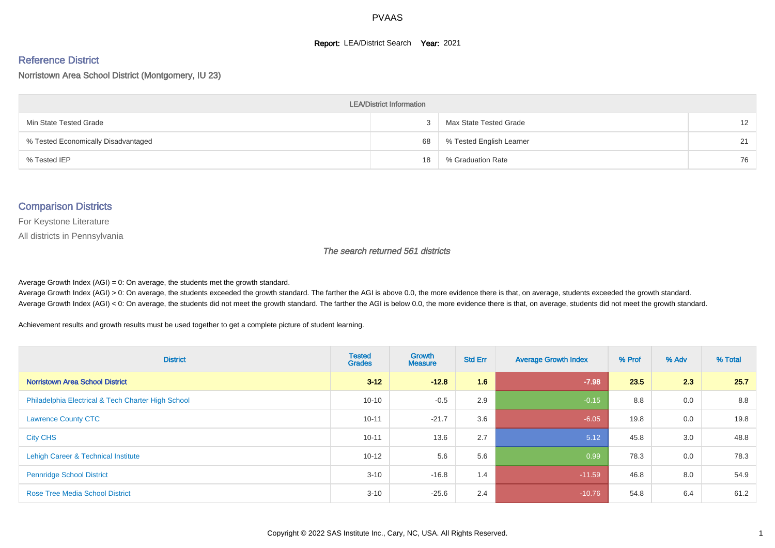#### **Report: LEA/District Search Year: 2021**

#### Reference District

#### Norristown Area School District (Montgomery, IU 23)

| <b>LEA/District Information</b>     |    |                          |                   |  |  |  |  |  |  |  |
|-------------------------------------|----|--------------------------|-------------------|--|--|--|--|--|--|--|
| Min State Tested Grade              |    | Max State Tested Grade   | $12 \overline{ }$ |  |  |  |  |  |  |  |
| % Tested Economically Disadvantaged | 68 | % Tested English Learner | 21                |  |  |  |  |  |  |  |
| % Tested IEP                        | 18 | % Graduation Rate        | 76                |  |  |  |  |  |  |  |

#### Comparison Districts

For Keystone Literature

All districts in Pennsylvania

The search returned 561 districts

Average Growth Index  $(AGI) = 0$ : On average, the students met the growth standard.

Average Growth Index (AGI) > 0: On average, the students exceeded the growth standard. The farther the AGI is above 0.0, the more evidence there is that, on average, students exceeded the growth standard. Average Growth Index (AGI) < 0: On average, the students did not meet the growth standard. The farther the AGI is below 0.0, the more evidence there is that, on average, students did not meet the growth standard.

Achievement results and growth results must be used together to get a complete picture of student learning.

| <b>District</b>                                    | <b>Tested</b><br><b>Grades</b> | <b>Growth</b><br><b>Measure</b> | <b>Std Err</b> | <b>Average Growth Index</b> | % Prof | % Adv | % Total |
|----------------------------------------------------|--------------------------------|---------------------------------|----------------|-----------------------------|--------|-------|---------|
| <b>Norristown Area School District</b>             | $3 - 12$                       | $-12.8$                         | 1.6            | $-7.98$                     | 23.5   | 2.3   | 25.7    |
| Philadelphia Electrical & Tech Charter High School | $10 - 10$                      | $-0.5$                          | 2.9            | $-0.15$                     | 8.8    | 0.0   | 8.8     |
| <b>Lawrence County CTC</b>                         | $10 - 11$                      | $-21.7$                         | 3.6            | $-6.05$                     | 19.8   | 0.0   | 19.8    |
| <b>City CHS</b>                                    | $10 - 11$                      | 13.6                            | 2.7            | 5.12                        | 45.8   | 3.0   | 48.8    |
| Lehigh Career & Technical Institute                | $10 - 12$                      | 5.6                             | 5.6            | 0.99                        | 78.3   | 0.0   | 78.3    |
| <b>Pennridge School District</b>                   | $3 - 10$                       | $-16.8$                         | 1.4            | $-11.59$                    | 46.8   | 8.0   | 54.9    |
| <b>Rose Tree Media School District</b>             | $3 - 10$                       | $-25.6$                         | 2.4            | $-10.76$                    | 54.8   | 6.4   | 61.2    |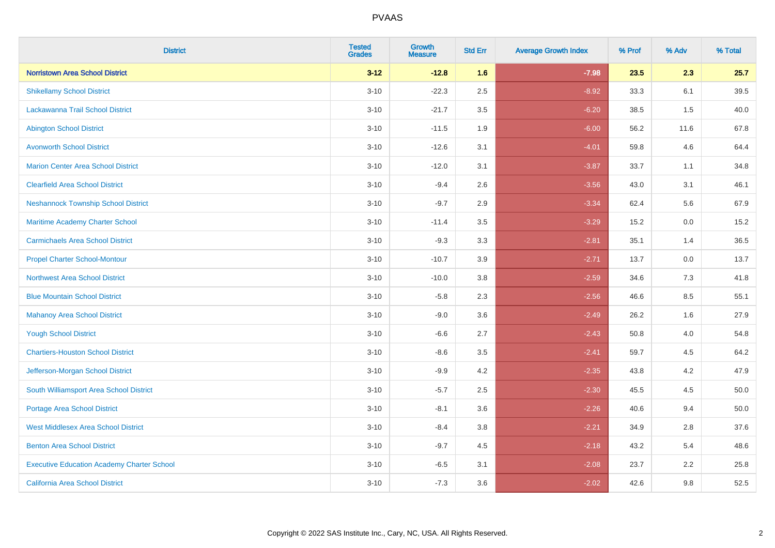| <b>District</b>                                   | <b>Tested</b><br><b>Grades</b> | <b>Growth</b><br><b>Measure</b> | <b>Std Err</b> | <b>Average Growth Index</b> | % Prof | % Adv   | % Total |
|---------------------------------------------------|--------------------------------|---------------------------------|----------------|-----------------------------|--------|---------|---------|
| <b>Norristown Area School District</b>            | $3 - 12$                       | $-12.8$                         | 1.6            | $-7.98$                     | 23.5   | 2.3     | 25.7    |
| <b>Shikellamy School District</b>                 | $3 - 10$                       | $-22.3$                         | 2.5            | $-8.92$                     | 33.3   | 6.1     | 39.5    |
| <b>Lackawanna Trail School District</b>           | $3 - 10$                       | $-21.7$                         | 3.5            | $-6.20$                     | 38.5   | 1.5     | 40.0    |
| <b>Abington School District</b>                   | $3 - 10$                       | $-11.5$                         | 1.9            | $-6.00$                     | 56.2   | 11.6    | 67.8    |
| <b>Avonworth School District</b>                  | $3 - 10$                       | $-12.6$                         | 3.1            | $-4.01$                     | 59.8   | 4.6     | 64.4    |
| <b>Marion Center Area School District</b>         | $3 - 10$                       | $-12.0$                         | 3.1            | $-3.87$                     | 33.7   | 1.1     | 34.8    |
| <b>Clearfield Area School District</b>            | $3 - 10$                       | $-9.4$                          | 2.6            | $-3.56$                     | 43.0   | 3.1     | 46.1    |
| <b>Neshannock Township School District</b>        | $3 - 10$                       | $-9.7$                          | 2.9            | $-3.34$                     | 62.4   | 5.6     | 67.9    |
| Maritime Academy Charter School                   | $3 - 10$                       | $-11.4$                         | 3.5            | $-3.29$                     | 15.2   | 0.0     | 15.2    |
| <b>Carmichaels Area School District</b>           | $3 - 10$                       | $-9.3$                          | 3.3            | $-2.81$                     | 35.1   | 1.4     | 36.5    |
| <b>Propel Charter School-Montour</b>              | $3 - 10$                       | $-10.7$                         | 3.9            | $-2.71$                     | 13.7   | 0.0     | 13.7    |
| <b>Northwest Area School District</b>             | $3 - 10$                       | $-10.0$                         | 3.8            | $-2.59$                     | 34.6   | 7.3     | 41.8    |
| <b>Blue Mountain School District</b>              | $3 - 10$                       | $-5.8$                          | 2.3            | $-2.56$                     | 46.6   | $8.5\,$ | 55.1    |
| <b>Mahanoy Area School District</b>               | $3 - 10$                       | $-9.0$                          | 3.6            | $-2.49$                     | 26.2   | 1.6     | 27.9    |
| <b>Yough School District</b>                      | $3 - 10$                       | $-6.6$                          | 2.7            | $-2.43$                     | 50.8   | 4.0     | 54.8    |
| <b>Chartiers-Houston School District</b>          | $3 - 10$                       | $-8.6$                          | 3.5            | $-2.41$                     | 59.7   | 4.5     | 64.2    |
| Jefferson-Morgan School District                  | $3 - 10$                       | $-9.9$                          | 4.2            | $-2.35$                     | 43.8   | 4.2     | 47.9    |
| South Williamsport Area School District           | $3 - 10$                       | $-5.7$                          | 2.5            | $-2.30$                     | 45.5   | 4.5     | 50.0    |
| Portage Area School District                      | $3 - 10$                       | $-8.1$                          | 3.6            | $-2.26$                     | 40.6   | 9.4     | 50.0    |
| <b>West Middlesex Area School District</b>        | $3 - 10$                       | $-8.4$                          | 3.8            | $-2.21$                     | 34.9   | 2.8     | 37.6    |
| <b>Benton Area School District</b>                | $3 - 10$                       | $-9.7$                          | 4.5            | $-2.18$                     | 43.2   | 5.4     | 48.6    |
| <b>Executive Education Academy Charter School</b> | $3 - 10$                       | $-6.5$                          | 3.1            | $-2.08$                     | 23.7   | 2.2     | 25.8    |
| California Area School District                   | $3 - 10$                       | $-7.3$                          | 3.6            | $-2.02$                     | 42.6   | 9.8     | 52.5    |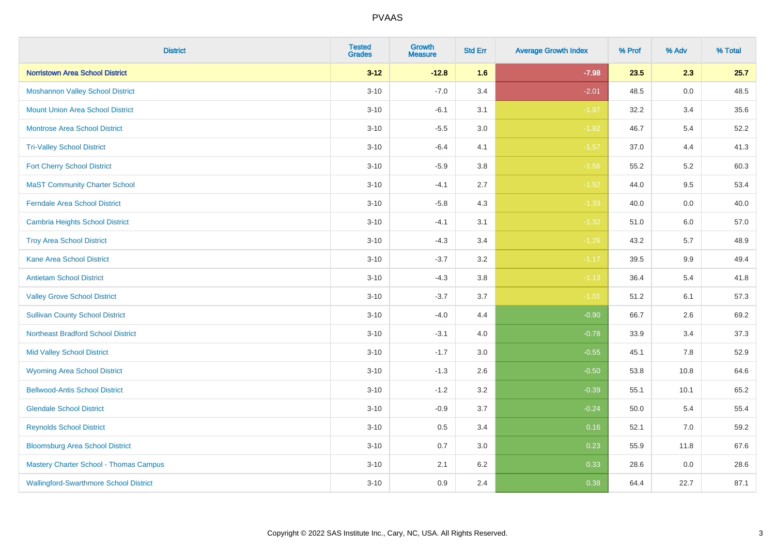| <b>District</b>                               | <b>Tested</b><br><b>Grades</b> | <b>Growth</b><br><b>Measure</b> | <b>Std Err</b> | <b>Average Growth Index</b> | % Prof | % Adv   | % Total |
|-----------------------------------------------|--------------------------------|---------------------------------|----------------|-----------------------------|--------|---------|---------|
| <b>Norristown Area School District</b>        | $3 - 12$                       | $-12.8$                         | 1.6            | $-7.98$                     | 23.5   | 2.3     | 25.7    |
| <b>Moshannon Valley School District</b>       | $3 - 10$                       | $-7.0$                          | 3.4            | $-2.01$                     | 48.5   | 0.0     | 48.5    |
| <b>Mount Union Area School District</b>       | $3 - 10$                       | $-6.1$                          | 3.1            | $-1.97$                     | 32.2   | 3.4     | 35.6    |
| <b>Montrose Area School District</b>          | $3 - 10$                       | $-5.5$                          | 3.0            | $-1.82$                     | 46.7   | 5.4     | 52.2    |
| <b>Tri-Valley School District</b>             | $3 - 10$                       | $-6.4$                          | 4.1            | $-1.57$                     | 37.0   | 4.4     | 41.3    |
| <b>Fort Cherry School District</b>            | $3 - 10$                       | $-5.9$                          | 3.8            | $-1.56$                     | 55.2   | $5.2\,$ | 60.3    |
| <b>MaST Community Charter School</b>          | $3 - 10$                       | $-4.1$                          | 2.7            | $-1.52$                     | 44.0   | 9.5     | 53.4    |
| <b>Ferndale Area School District</b>          | $3 - 10$                       | $-5.8$                          | 4.3            | $-1.33$                     | 40.0   | 0.0     | 40.0    |
| <b>Cambria Heights School District</b>        | $3 - 10$                       | $-4.1$                          | 3.1            | $-1.32$                     | 51.0   | 6.0     | 57.0    |
| <b>Troy Area School District</b>              | $3 - 10$                       | $-4.3$                          | 3.4            | $-1.26$                     | 43.2   | 5.7     | 48.9    |
| <b>Kane Area School District</b>              | $3 - 10$                       | $-3.7$                          | 3.2            | $-1.17$                     | 39.5   | 9.9     | 49.4    |
| <b>Antietam School District</b>               | $3 - 10$                       | $-4.3$                          | 3.8            | $-1.13$                     | 36.4   | 5.4     | 41.8    |
| <b>Valley Grove School District</b>           | $3 - 10$                       | $-3.7$                          | 3.7            | $-1.01$                     | 51.2   | 6.1     | 57.3    |
| <b>Sullivan County School District</b>        | $3 - 10$                       | $-4.0$                          | 4.4            | $-0.90$                     | 66.7   | 2.6     | 69.2    |
| <b>Northeast Bradford School District</b>     | $3 - 10$                       | $-3.1$                          | 4.0            | $-0.78$                     | 33.9   | 3.4     | 37.3    |
| <b>Mid Valley School District</b>             | $3 - 10$                       | $-1.7$                          | 3.0            | $-0.55$                     | 45.1   | $7.8\,$ | 52.9    |
| <b>Wyoming Area School District</b>           | $3 - 10$                       | $-1.3$                          | 2.6            | $-0.50$                     | 53.8   | 10.8    | 64.6    |
| <b>Bellwood-Antis School District</b>         | $3 - 10$                       | $-1.2$                          | 3.2            | $-0.39$                     | 55.1   | 10.1    | 65.2    |
| <b>Glendale School District</b>               | $3 - 10$                       | $-0.9$                          | 3.7            | $-0.24$                     | 50.0   | 5.4     | 55.4    |
| <b>Reynolds School District</b>               | $3 - 10$                       | 0.5                             | 3.4            | 0.16                        | 52.1   | 7.0     | 59.2    |
| <b>Bloomsburg Area School District</b>        | $3 - 10$                       | 0.7                             | 3.0            | 0.23                        | 55.9   | 11.8    | 67.6    |
| <b>Mastery Charter School - Thomas Campus</b> | $3 - 10$                       | 2.1                             | 6.2            | 0.33                        | 28.6   | 0.0     | 28.6    |
| <b>Wallingford-Swarthmore School District</b> | $3 - 10$                       | 0.9                             | 2.4            | 0.38                        | 64.4   | 22.7    | 87.1    |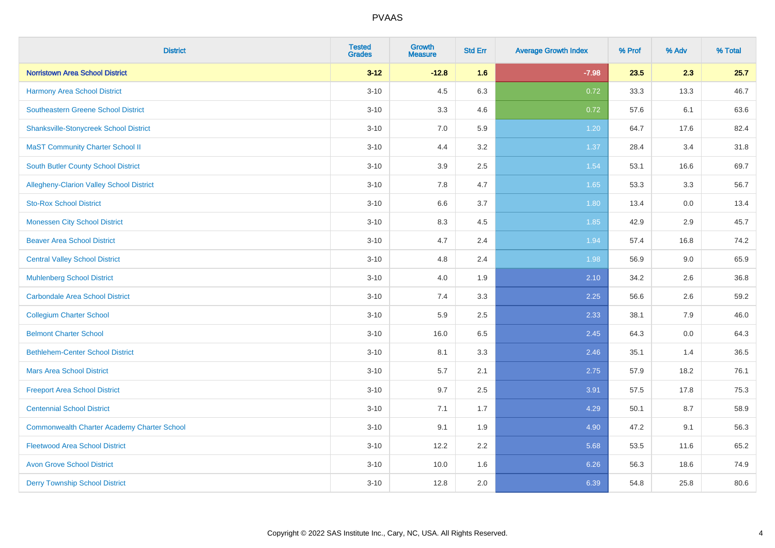| <b>District</b>                                    | <b>Tested</b><br><b>Grades</b> | <b>Growth</b><br><b>Measure</b> | <b>Std Err</b> | <b>Average Growth Index</b> | % Prof | % Adv | % Total |
|----------------------------------------------------|--------------------------------|---------------------------------|----------------|-----------------------------|--------|-------|---------|
| <b>Norristown Area School District</b>             | $3 - 12$                       | $-12.8$                         | 1.6            | $-7.98$                     | 23.5   | 2.3   | 25.7    |
| Harmony Area School District                       | $3 - 10$                       | 4.5                             | 6.3            | 0.72                        | 33.3   | 13.3  | 46.7    |
| Southeastern Greene School District                | $3 - 10$                       | 3.3                             | 4.6            | 0.72                        | 57.6   | 6.1   | 63.6    |
| <b>Shanksville-Stonycreek School District</b>      | $3 - 10$                       | 7.0                             | 5.9            | 1.20                        | 64.7   | 17.6  | 82.4    |
| <b>MaST Community Charter School II</b>            | $3 - 10$                       | 4.4                             | 3.2            | 1.37                        | 28.4   | 3.4   | 31.8    |
| <b>South Butler County School District</b>         | $3 - 10$                       | 3.9                             | 2.5            | 1.54                        | 53.1   | 16.6  | 69.7    |
| Allegheny-Clarion Valley School District           | $3 - 10$                       | 7.8                             | 4.7            | 1.65                        | 53.3   | 3.3   | 56.7    |
| <b>Sto-Rox School District</b>                     | $3 - 10$                       | 6.6                             | 3.7            | 1.80                        | 13.4   | 0.0   | 13.4    |
| <b>Monessen City School District</b>               | $3 - 10$                       | 8.3                             | 4.5            | 1.85                        | 42.9   | 2.9   | 45.7    |
| <b>Beaver Area School District</b>                 | $3 - 10$                       | 4.7                             | 2.4            | 1.94                        | 57.4   | 16.8  | 74.2    |
| <b>Central Valley School District</b>              | $3 - 10$                       | 4.8                             | 2.4            | 1.98                        | 56.9   | 9.0   | 65.9    |
| <b>Muhlenberg School District</b>                  | $3 - 10$                       | 4.0                             | 1.9            | 2.10                        | 34.2   | 2.6   | 36.8    |
| Carbondale Area School District                    | $3 - 10$                       | 7.4                             | 3.3            | 2.25                        | 56.6   | 2.6   | 59.2    |
| <b>Collegium Charter School</b>                    | $3 - 10$                       | 5.9                             | 2.5            | 2.33                        | 38.1   | 7.9   | 46.0    |
| <b>Belmont Charter School</b>                      | $3 - 10$                       | 16.0                            | 6.5            | 2.45                        | 64.3   | 0.0   | 64.3    |
| <b>Bethlehem-Center School District</b>            | $3 - 10$                       | 8.1                             | 3.3            | 2.46                        | 35.1   | 1.4   | 36.5    |
| <b>Mars Area School District</b>                   | $3 - 10$                       | 5.7                             | 2.1            | 2.75                        | 57.9   | 18.2  | 76.1    |
| <b>Freeport Area School District</b>               | $3 - 10$                       | 9.7                             | 2.5            | 3.91                        | 57.5   | 17.8  | 75.3    |
| <b>Centennial School District</b>                  | $3 - 10$                       | 7.1                             | 1.7            | 4.29                        | 50.1   | 8.7   | 58.9    |
| <b>Commonwealth Charter Academy Charter School</b> | $3 - 10$                       | 9.1                             | 1.9            | 4.90                        | 47.2   | 9.1   | 56.3    |
| <b>Fleetwood Area School District</b>              | $3 - 10$                       | 12.2                            | 2.2            | 5.68                        | 53.5   | 11.6  | 65.2    |
| <b>Avon Grove School District</b>                  | $3 - 10$                       | 10.0                            | 1.6            | 6.26                        | 56.3   | 18.6  | 74.9    |
| <b>Derry Township School District</b>              | $3 - 10$                       | 12.8                            | 2.0            | 6.39                        | 54.8   | 25.8  | 80.6    |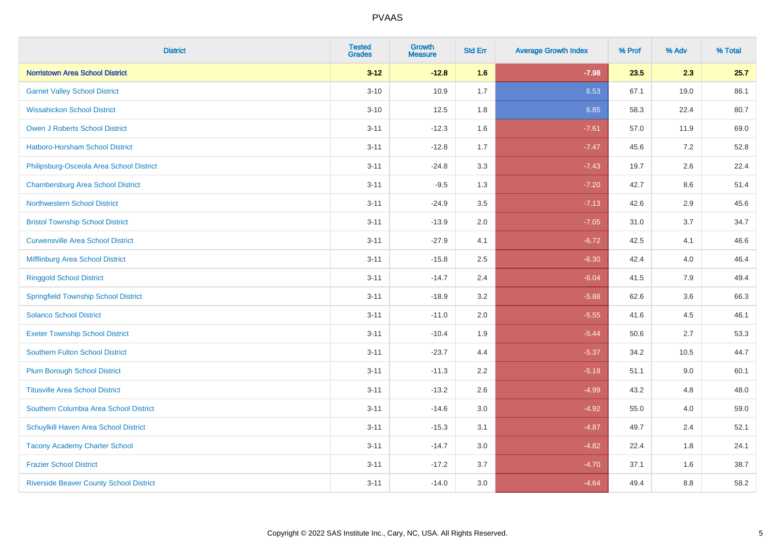| <b>District</b>                                | <b>Tested</b><br><b>Grades</b> | <b>Growth</b><br><b>Measure</b> | <b>Std Err</b> | <b>Average Growth Index</b> | % Prof | % Adv | % Total |
|------------------------------------------------|--------------------------------|---------------------------------|----------------|-----------------------------|--------|-------|---------|
| <b>Norristown Area School District</b>         | $3 - 12$                       | $-12.8$                         | 1.6            | $-7.98$                     | 23.5   | 2.3   | 25.7    |
| <b>Garnet Valley School District</b>           | $3 - 10$                       | 10.9                            | 1.7            | 6.53                        | 67.1   | 19.0  | 86.1    |
| <b>Wissahickon School District</b>             | $3 - 10$                       | 12.5                            | 1.8            | 6.85                        | 58.3   | 22.4  | 80.7    |
| <b>Owen J Roberts School District</b>          | $3 - 11$                       | $-12.3$                         | 1.6            | $-7.61$                     | 57.0   | 11.9  | 69.0    |
| Hatboro-Horsham School District                | $3 - 11$                       | $-12.8$                         | 1.7            | $-7.47$                     | 45.6   | 7.2   | 52.8    |
| Philipsburg-Osceola Area School District       | $3 - 11$                       | $-24.8$                         | 3.3            | $-7.43$                     | 19.7   | 2.6   | 22.4    |
| <b>Chambersburg Area School District</b>       | $3 - 11$                       | $-9.5$                          | 1.3            | $-7.20$                     | 42.7   | 8.6   | 51.4    |
| <b>Northwestern School District</b>            | $3 - 11$                       | $-24.9$                         | 3.5            | $-7.13$                     | 42.6   | 2.9   | 45.6    |
| <b>Bristol Township School District</b>        | $3 - 11$                       | $-13.9$                         | 2.0            | $-7.05$                     | 31.0   | 3.7   | 34.7    |
| <b>Curwensville Area School District</b>       | $3 - 11$                       | $-27.9$                         | 4.1            | $-6.72$                     | 42.5   | 4.1   | 46.6    |
| Mifflinburg Area School District               | $3 - 11$                       | $-15.8$                         | 2.5            | $-6.30$                     | 42.4   | 4.0   | 46.4    |
| <b>Ringgold School District</b>                | $3 - 11$                       | $-14.7$                         | 2.4            | $-6.04$                     | 41.5   | 7.9   | 49.4    |
| <b>Springfield Township School District</b>    | $3 - 11$                       | $-18.9$                         | 3.2            | $-5.88$                     | 62.6   | 3.6   | 66.3    |
| <b>Solanco School District</b>                 | $3 - 11$                       | $-11.0$                         | 2.0            | $-5.55$                     | 41.6   | 4.5   | 46.1    |
| <b>Exeter Township School District</b>         | $3 - 11$                       | $-10.4$                         | 1.9            | $-5.44$                     | 50.6   | 2.7   | 53.3    |
| <b>Southern Fulton School District</b>         | $3 - 11$                       | $-23.7$                         | 4.4            | $-5.37$                     | 34.2   | 10.5  | 44.7    |
| <b>Plum Borough School District</b>            | $3 - 11$                       | $-11.3$                         | 2.2            | $-5.19$                     | 51.1   | 9.0   | 60.1    |
| <b>Titusville Area School District</b>         | $3 - 11$                       | $-13.2$                         | 2.6            | $-4.99$                     | 43.2   | 4.8   | 48.0    |
| Southern Columbia Area School District         | $3 - 11$                       | $-14.6$                         | 3.0            | $-4.92$                     | 55.0   | 4.0   | 59.0    |
| Schuylkill Haven Area School District          | $3 - 11$                       | $-15.3$                         | 3.1            | $-4.87$                     | 49.7   | 2.4   | 52.1    |
| <b>Tacony Academy Charter School</b>           | $3 - 11$                       | $-14.7$                         | 3.0            | $-4.82$                     | 22.4   | 1.8   | 24.1    |
| <b>Frazier School District</b>                 | $3 - 11$                       | $-17.2$                         | 3.7            | $-4.70$                     | 37.1   | 1.6   | 38.7    |
| <b>Riverside Beaver County School District</b> | $3 - 11$                       | $-14.0$                         | 3.0            | $-4.64$                     | 49.4   | 8.8   | 58.2    |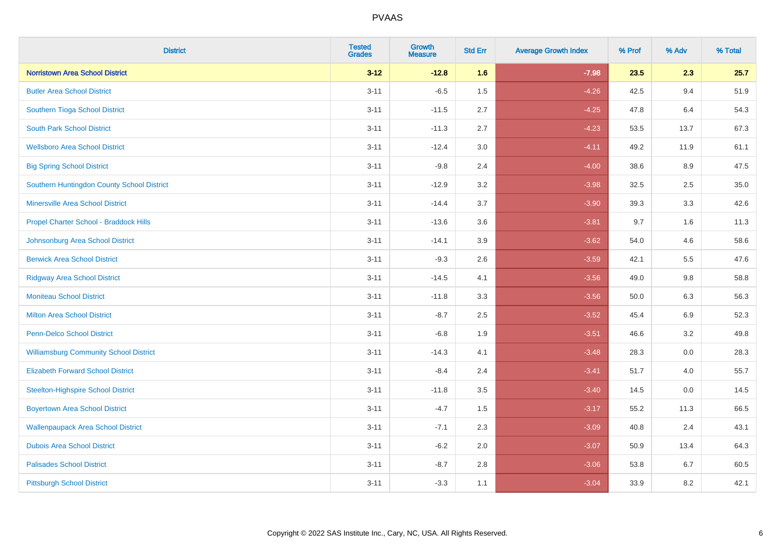| <b>District</b>                               | <b>Tested</b><br><b>Grades</b> | Growth<br><b>Measure</b> | <b>Std Err</b> | <b>Average Growth Index</b> | % Prof | % Adv   | % Total |
|-----------------------------------------------|--------------------------------|--------------------------|----------------|-----------------------------|--------|---------|---------|
| <b>Norristown Area School District</b>        | $3 - 12$                       | $-12.8$                  | 1.6            | $-7.98$                     | 23.5   | 2.3     | 25.7    |
| <b>Butler Area School District</b>            | $3 - 11$                       | $-6.5$                   | 1.5            | $-4.26$                     | 42.5   | 9.4     | 51.9    |
| Southern Tioga School District                | $3 - 11$                       | $-11.5$                  | 2.7            | $-4.25$                     | 47.8   | 6.4     | 54.3    |
| <b>South Park School District</b>             | $3 - 11$                       | $-11.3$                  | 2.7            | $-4.23$                     | 53.5   | 13.7    | 67.3    |
| <b>Wellsboro Area School District</b>         | $3 - 11$                       | $-12.4$                  | 3.0            | $-4.11$                     | 49.2   | 11.9    | 61.1    |
| <b>Big Spring School District</b>             | $3 - 11$                       | $-9.8$                   | 2.4            | $-4.00$                     | 38.6   | 8.9     | 47.5    |
| Southern Huntingdon County School District    | $3 - 11$                       | $-12.9$                  | 3.2            | $-3.98$                     | 32.5   | 2.5     | 35.0    |
| <b>Minersville Area School District</b>       | $3 - 11$                       | $-14.4$                  | 3.7            | $-3.90$                     | 39.3   | 3.3     | 42.6    |
| Propel Charter School - Braddock Hills        | $3 - 11$                       | $-13.6$                  | 3.6            | $-3.81$                     | 9.7    | 1.6     | 11.3    |
| Johnsonburg Area School District              | $3 - 11$                       | $-14.1$                  | 3.9            | $-3.62$                     | 54.0   | 4.6     | 58.6    |
| <b>Berwick Area School District</b>           | $3 - 11$                       | $-9.3$                   | 2.6            | $-3.59$                     | 42.1   | 5.5     | 47.6    |
| <b>Ridgway Area School District</b>           | $3 - 11$                       | $-14.5$                  | 4.1            | $-3.56$                     | 49.0   | $9.8\,$ | 58.8    |
| <b>Moniteau School District</b>               | $3 - 11$                       | $-11.8$                  | 3.3            | $-3.56$                     | 50.0   | 6.3     | 56.3    |
| <b>Milton Area School District</b>            | $3 - 11$                       | $-8.7$                   | 2.5            | $-3.52$                     | 45.4   | 6.9     | 52.3    |
| <b>Penn-Delco School District</b>             | $3 - 11$                       | $-6.8$                   | 1.9            | $-3.51$                     | 46.6   | 3.2     | 49.8    |
| <b>Williamsburg Community School District</b> | $3 - 11$                       | $-14.3$                  | 4.1            | $-3.48$                     | 28.3   | 0.0     | 28.3    |
| <b>Elizabeth Forward School District</b>      | $3 - 11$                       | $-8.4$                   | 2.4            | $-3.41$                     | 51.7   | 4.0     | 55.7    |
| <b>Steelton-Highspire School District</b>     | $3 - 11$                       | $-11.8$                  | 3.5            | $-3.40$                     | 14.5   | 0.0     | 14.5    |
| <b>Boyertown Area School District</b>         | $3 - 11$                       | $-4.7$                   | 1.5            | $-3.17$                     | 55.2   | 11.3    | 66.5    |
| <b>Wallenpaupack Area School District</b>     | $3 - 11$                       | $-7.1$                   | 2.3            | $-3.09$                     | 40.8   | 2.4     | 43.1    |
| <b>Dubois Area School District</b>            | $3 - 11$                       | $-6.2$                   | 2.0            | $-3.07$                     | 50.9   | 13.4    | 64.3    |
| <b>Palisades School District</b>              | $3 - 11$                       | $-8.7$                   | 2.8            | $-3.06$                     | 53.8   | 6.7     | 60.5    |
| <b>Pittsburgh School District</b>             | $3 - 11$                       | $-3.3$                   | 1.1            | $-3.04$                     | 33.9   | 8.2     | 42.1    |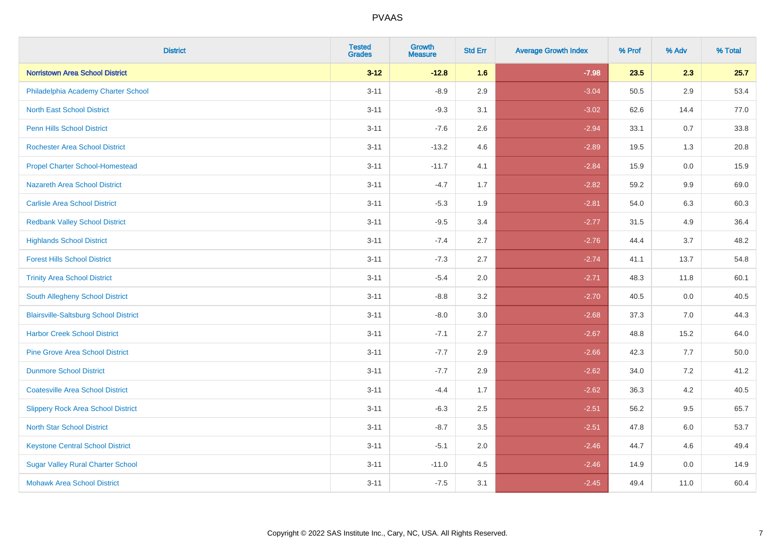| <b>District</b>                              | <b>Tested</b><br><b>Grades</b> | <b>Growth</b><br><b>Measure</b> | <b>Std Err</b> | <b>Average Growth Index</b> | % Prof | % Adv   | % Total |
|----------------------------------------------|--------------------------------|---------------------------------|----------------|-----------------------------|--------|---------|---------|
| <b>Norristown Area School District</b>       | $3 - 12$                       | $-12.8$                         | 1.6            | $-7.98$                     | 23.5   | 2.3     | 25.7    |
| Philadelphia Academy Charter School          | $3 - 11$                       | $-8.9$                          | 2.9            | $-3.04$                     | 50.5   | $2.9\,$ | 53.4    |
| <b>North East School District</b>            | $3 - 11$                       | $-9.3$                          | 3.1            | $-3.02$                     | 62.6   | 14.4    | 77.0    |
| <b>Penn Hills School District</b>            | $3 - 11$                       | $-7.6$                          | 2.6            | $-2.94$                     | 33.1   | 0.7     | 33.8    |
| <b>Rochester Area School District</b>        | $3 - 11$                       | $-13.2$                         | 4.6            | $-2.89$                     | 19.5   | 1.3     | 20.8    |
| <b>Propel Charter School-Homestead</b>       | $3 - 11$                       | $-11.7$                         | 4.1            | $-2.84$                     | 15.9   | 0.0     | 15.9    |
| <b>Nazareth Area School District</b>         | $3 - 11$                       | $-4.7$                          | 1.7            | $-2.82$                     | 59.2   | 9.9     | 69.0    |
| <b>Carlisle Area School District</b>         | $3 - 11$                       | $-5.3$                          | 1.9            | $-2.81$                     | 54.0   | 6.3     | 60.3    |
| <b>Redbank Valley School District</b>        | $3 - 11$                       | $-9.5$                          | 3.4            | $-2.77$                     | 31.5   | 4.9     | 36.4    |
| <b>Highlands School District</b>             | $3 - 11$                       | $-7.4$                          | 2.7            | $-2.76$                     | 44.4   | 3.7     | 48.2    |
| <b>Forest Hills School District</b>          | $3 - 11$                       | $-7.3$                          | 2.7            | $-2.74$                     | 41.1   | 13.7    | 54.8    |
| <b>Trinity Area School District</b>          | $3 - 11$                       | $-5.4$                          | 2.0            | $-2.71$                     | 48.3   | 11.8    | 60.1    |
| South Allegheny School District              | $3 - 11$                       | $-8.8$                          | 3.2            | $-2.70$                     | 40.5   | 0.0     | 40.5    |
| <b>Blairsville-Saltsburg School District</b> | $3 - 11$                       | $-8.0$                          | 3.0            | $-2.68$                     | 37.3   | 7.0     | 44.3    |
| <b>Harbor Creek School District</b>          | $3 - 11$                       | $-7.1$                          | 2.7            | $-2.67$                     | 48.8   | 15.2    | 64.0    |
| <b>Pine Grove Area School District</b>       | $3 - 11$                       | $-7.7$                          | 2.9            | $-2.66$                     | 42.3   | 7.7     | 50.0    |
| <b>Dunmore School District</b>               | $3 - 11$                       | $-7.7$                          | 2.9            | $-2.62$                     | 34.0   | 7.2     | 41.2    |
| <b>Coatesville Area School District</b>      | $3 - 11$                       | $-4.4$                          | 1.7            | $-2.62$                     | 36.3   | 4.2     | 40.5    |
| <b>Slippery Rock Area School District</b>    | $3 - 11$                       | $-6.3$                          | 2.5            | $-2.51$                     | 56.2   | 9.5     | 65.7    |
| <b>North Star School District</b>            | $3 - 11$                       | $-8.7$                          | 3.5            | $-2.51$                     | 47.8   | 6.0     | 53.7    |
| <b>Keystone Central School District</b>      | $3 - 11$                       | $-5.1$                          | 2.0            | $-2.46$                     | 44.7   | 4.6     | 49.4    |
| <b>Sugar Valley Rural Charter School</b>     | $3 - 11$                       | $-11.0$                         | 4.5            | $-2.46$                     | 14.9   | 0.0     | 14.9    |
| <b>Mohawk Area School District</b>           | $3 - 11$                       | $-7.5$                          | 3.1            | $-2.45$                     | 49.4   | 11.0    | 60.4    |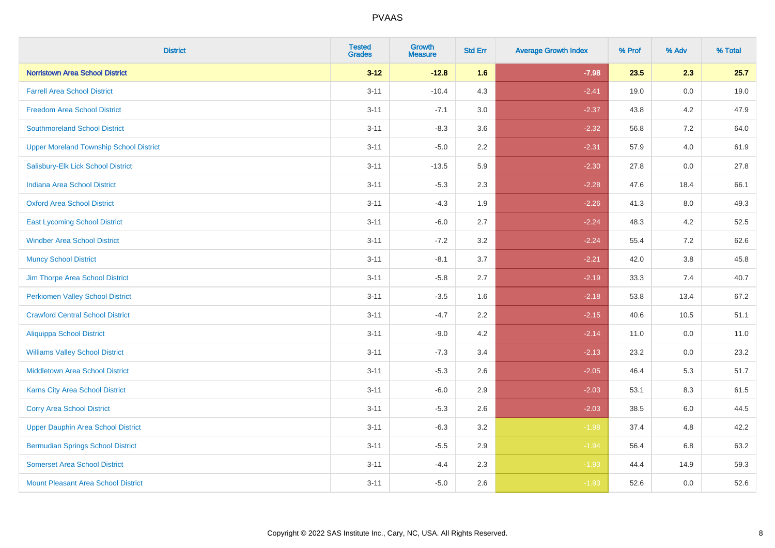| <b>District</b>                                | <b>Tested</b><br><b>Grades</b> | Growth<br><b>Measure</b> | <b>Std Err</b> | <b>Average Growth Index</b> | % Prof | % Adv   | % Total |
|------------------------------------------------|--------------------------------|--------------------------|----------------|-----------------------------|--------|---------|---------|
| <b>Norristown Area School District</b>         | $3 - 12$                       | $-12.8$                  | 1.6            | $-7.98$                     | 23.5   | 2.3     | 25.7    |
| <b>Farrell Area School District</b>            | $3 - 11$                       | $-10.4$                  | 4.3            | $-2.41$                     | 19.0   | 0.0     | 19.0    |
| <b>Freedom Area School District</b>            | $3 - 11$                       | $-7.1$                   | 3.0            | $-2.37$                     | 43.8   | 4.2     | 47.9    |
| <b>Southmoreland School District</b>           | $3 - 11$                       | $-8.3$                   | 3.6            | $-2.32$                     | 56.8   | 7.2     | 64.0    |
| <b>Upper Moreland Township School District</b> | $3 - 11$                       | $-5.0$                   | 2.2            | $-2.31$                     | 57.9   | 4.0     | 61.9    |
| Salisbury-Elk Lick School District             | $3 - 11$                       | $-13.5$                  | 5.9            | $-2.30$                     | 27.8   | 0.0     | 27.8    |
| <b>Indiana Area School District</b>            | $3 - 11$                       | $-5.3$                   | 2.3            | $-2.28$                     | 47.6   | 18.4    | 66.1    |
| <b>Oxford Area School District</b>             | $3 - 11$                       | $-4.3$                   | 1.9            | $-2.26$                     | 41.3   | 8.0     | 49.3    |
| <b>East Lycoming School District</b>           | $3 - 11$                       | $-6.0$                   | 2.7            | $-2.24$                     | 48.3   | 4.2     | 52.5    |
| <b>Windber Area School District</b>            | $3 - 11$                       | $-7.2$                   | 3.2            | $-2.24$                     | 55.4   | 7.2     | 62.6    |
| <b>Muncy School District</b>                   | $3 - 11$                       | $-8.1$                   | 3.7            | $-2.21$                     | 42.0   | $3.8\,$ | 45.8    |
| Jim Thorpe Area School District                | $3 - 11$                       | $-5.8$                   | 2.7            | $-2.19$                     | 33.3   | 7.4     | 40.7    |
| <b>Perkiomen Valley School District</b>        | $3 - 11$                       | $-3.5$                   | 1.6            | $-2.18$                     | 53.8   | 13.4    | 67.2    |
| <b>Crawford Central School District</b>        | $3 - 11$                       | $-4.7$                   | 2.2            | $-2.15$                     | 40.6   | 10.5    | 51.1    |
| <b>Aliquippa School District</b>               | $3 - 11$                       | $-9.0$                   | 4.2            | $-2.14$                     | 11.0   | 0.0     | 11.0    |
| <b>Williams Valley School District</b>         | $3 - 11$                       | $-7.3$                   | 3.4            | $-2.13$                     | 23.2   | 0.0     | 23.2    |
| Middletown Area School District                | $3 - 11$                       | $-5.3$                   | 2.6            | $-2.05$                     | 46.4   | 5.3     | 51.7    |
| <b>Karns City Area School District</b>         | $3 - 11$                       | $-6.0$                   | 2.9            | $-2.03$                     | 53.1   | 8.3     | 61.5    |
| <b>Corry Area School District</b>              | $3 - 11$                       | $-5.3$                   | 2.6            | $-2.03$                     | 38.5   | 6.0     | 44.5    |
| <b>Upper Dauphin Area School District</b>      | $3 - 11$                       | $-6.3$                   | 3.2            | $-1.98$                     | 37.4   | 4.8     | 42.2    |
| <b>Bermudian Springs School District</b>       | $3 - 11$                       | $-5.5$                   | 2.9            | $-1.94$                     | 56.4   | 6.8     | 63.2    |
| <b>Somerset Area School District</b>           | $3 - 11$                       | $-4.4$                   | 2.3            | $-1.93$                     | 44.4   | 14.9    | 59.3    |
| Mount Pleasant Area School District            | $3 - 11$                       | $-5.0$                   | 2.6            | $-1.93$                     | 52.6   | 0.0     | 52.6    |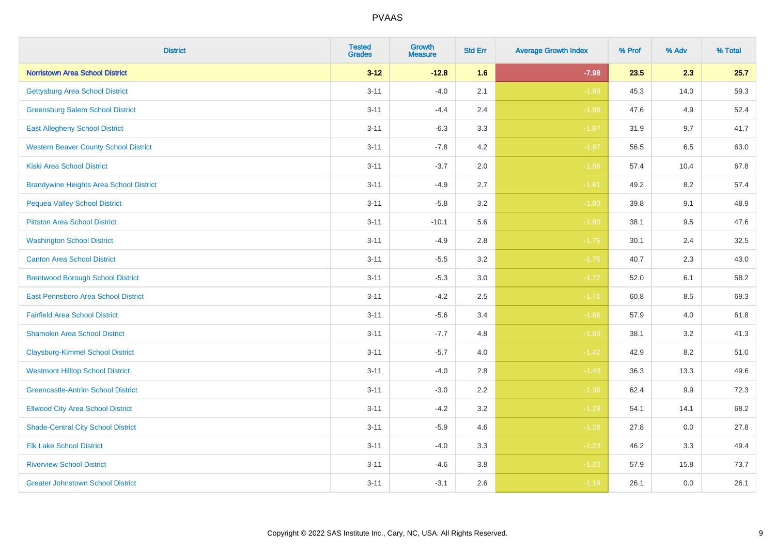| <b>District</b>                                | <b>Tested</b><br><b>Grades</b> | <b>Growth</b><br><b>Measure</b> | <b>Std Err</b> | <b>Average Growth Index</b> | % Prof | % Adv   | % Total |
|------------------------------------------------|--------------------------------|---------------------------------|----------------|-----------------------------|--------|---------|---------|
| <b>Norristown Area School District</b>         | $3 - 12$                       | $-12.8$                         | 1.6            | $-7.98$                     | 23.5   | 2.3     | 25.7    |
| <b>Gettysburg Area School District</b>         | $3 - 11$                       | $-4.0$                          | 2.1            | $-1.89$                     | 45.3   | 14.0    | 59.3    |
| <b>Greensburg Salem School District</b>        | $3 - 11$                       | $-4.4$                          | 2.4            | $-1.88$                     | 47.6   | 4.9     | 52.4    |
| <b>East Allegheny School District</b>          | $3 - 11$                       | $-6.3$                          | 3.3            | $-1.87$                     | 31.9   | 9.7     | 41.7    |
| <b>Western Beaver County School District</b>   | $3 - 11$                       | $-7.8$                          | 4.2            | $-1.87$                     | 56.5   | 6.5     | 63.0    |
| <b>Kiski Area School District</b>              | $3 - 11$                       | $-3.7$                          | 2.0            | $-1.86$                     | 57.4   | 10.4    | 67.8    |
| <b>Brandywine Heights Area School District</b> | $3 - 11$                       | $-4.9$                          | 2.7            | $-1.81$                     | 49.2   | 8.2     | 57.4    |
| <b>Pequea Valley School District</b>           | $3 - 11$                       | $-5.8$                          | 3.2            | $-1.80$                     | 39.8   | 9.1     | 48.9    |
| <b>Pittston Area School District</b>           | $3 - 11$                       | $-10.1$                         | 5.6            | $-1.80$                     | 38.1   | 9.5     | 47.6    |
| <b>Washington School District</b>              | $3 - 11$                       | $-4.9$                          | 2.8            | $-1.76$                     | 30.1   | 2.4     | 32.5    |
| <b>Canton Area School District</b>             | $3 - 11$                       | $-5.5$                          | 3.2            | $-1.75$                     | 40.7   | 2.3     | 43.0    |
| <b>Brentwood Borough School District</b>       | $3 - 11$                       | $-5.3$                          | 3.0            | $-1.72$                     | 52.0   | 6.1     | 58.2    |
| East Pennsboro Area School District            | $3 - 11$                       | $-4.2$                          | 2.5            | $-1.71$                     | 60.8   | $8.5\,$ | 69.3    |
| <b>Fairfield Area School District</b>          | $3 - 11$                       | $-5.6$                          | 3.4            | $-1.66$                     | 57.9   | 4.0     | 61.8    |
| <b>Shamokin Area School District</b>           | $3 - 11$                       | $-7.7$                          | 4.8            | $-1.60$                     | 38.1   | 3.2     | 41.3    |
| <b>Claysburg-Kimmel School District</b>        | $3 - 11$                       | $-5.7$                          | 4.0            | $-1.42$                     | 42.9   | 8.2     | 51.0    |
| <b>Westmont Hilltop School District</b>        | $3 - 11$                       | $-4.0$                          | 2.8            | $-1.40$                     | 36.3   | 13.3    | 49.6    |
| <b>Greencastle-Antrim School District</b>      | $3 - 11$                       | $-3.0$                          | 2.2            | $-1.36$                     | 62.4   | 9.9     | 72.3    |
| <b>Ellwood City Area School District</b>       | $3 - 11$                       | $-4.2$                          | 3.2            | $-1.29$                     | 54.1   | 14.1    | 68.2    |
| <b>Shade-Central City School District</b>      | $3 - 11$                       | $-5.9$                          | 4.6            | $-1.28$                     | 27.8   | 0.0     | 27.8    |
| <b>Elk Lake School District</b>                | $3 - 11$                       | $-4.0$                          | 3.3            | $-1.23$                     | 46.2   | 3.3     | 49.4    |
| <b>Riverview School District</b>               | $3 - 11$                       | $-4.6$                          | 3.8            | $-1.20$                     | 57.9   | 15.8    | 73.7    |
| <b>Greater Johnstown School District</b>       | $3 - 11$                       | $-3.1$                          | 2.6            | $-1.19$                     | 26.1   | 0.0     | 26.1    |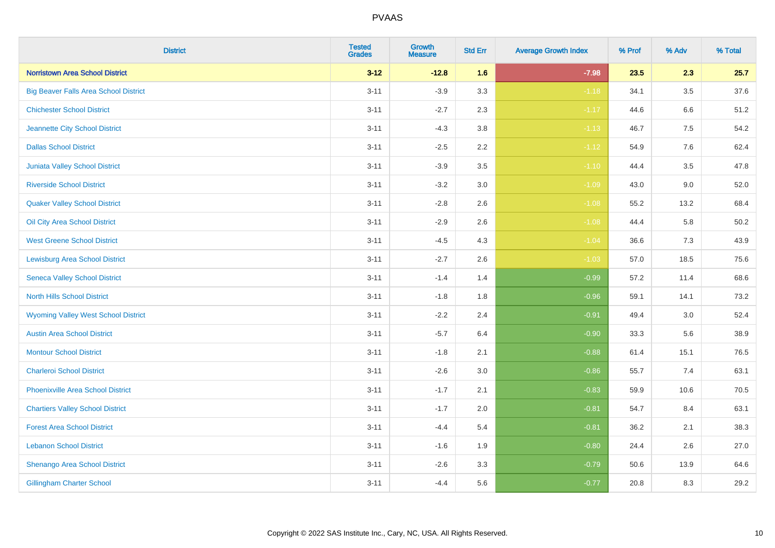| <b>District</b>                              | <b>Tested</b><br><b>Grades</b> | Growth<br><b>Measure</b> | <b>Std Err</b> | <b>Average Growth Index</b> | % Prof | % Adv   | % Total |
|----------------------------------------------|--------------------------------|--------------------------|----------------|-----------------------------|--------|---------|---------|
| <b>Norristown Area School District</b>       | $3 - 12$                       | $-12.8$                  | 1.6            | $-7.98$                     | 23.5   | 2.3     | 25.7    |
| <b>Big Beaver Falls Area School District</b> | $3 - 11$                       | $-3.9$                   | 3.3            | $-1.18$                     | 34.1   | 3.5     | 37.6    |
| <b>Chichester School District</b>            | $3 - 11$                       | $-2.7$                   | 2.3            | $-1.17$                     | 44.6   | 6.6     | 51.2    |
| Jeannette City School District               | $3 - 11$                       | $-4.3$                   | 3.8            | $-1.13$                     | 46.7   | $7.5\,$ | 54.2    |
| <b>Dallas School District</b>                | $3 - 11$                       | $-2.5$                   | 2.2            | $-1.12$                     | 54.9   | 7.6     | 62.4    |
| Juniata Valley School District               | $3 - 11$                       | $-3.9$                   | 3.5            | $-1.10$                     | 44.4   | 3.5     | 47.8    |
| <b>Riverside School District</b>             | $3 - 11$                       | $-3.2$                   | 3.0            | $-1.09$                     | 43.0   | 9.0     | 52.0    |
| <b>Quaker Valley School District</b>         | $3 - 11$                       | $-2.8$                   | 2.6            | $-1.08$                     | 55.2   | 13.2    | 68.4    |
| Oil City Area School District                | $3 - 11$                       | $-2.9$                   | 2.6            | $-1.08$                     | 44.4   | 5.8     | 50.2    |
| <b>West Greene School District</b>           | $3 - 11$                       | $-4.5$                   | 4.3            | $-1.04$                     | 36.6   | 7.3     | 43.9    |
| <b>Lewisburg Area School District</b>        | $3 - 11$                       | $-2.7$                   | 2.6            | $-1.03$                     | 57.0   | 18.5    | 75.6    |
| <b>Seneca Valley School District</b>         | $3 - 11$                       | $-1.4$                   | 1.4            | $-0.99$                     | 57.2   | 11.4    | 68.6    |
| <b>North Hills School District</b>           | $3 - 11$                       | $-1.8$                   | 1.8            | $-0.96$                     | 59.1   | 14.1    | 73.2    |
| <b>Wyoming Valley West School District</b>   | $3 - 11$                       | $-2.2$                   | 2.4            | $-0.91$                     | 49.4   | 3.0     | 52.4    |
| <b>Austin Area School District</b>           | $3 - 11$                       | $-5.7$                   | 6.4            | $-0.90$                     | 33.3   | 5.6     | 38.9    |
| <b>Montour School District</b>               | $3 - 11$                       | $-1.8$                   | 2.1            | $-0.88$                     | 61.4   | 15.1    | 76.5    |
| <b>Charleroi School District</b>             | $3 - 11$                       | $-2.6$                   | 3.0            | $-0.86$                     | 55.7   | 7.4     | 63.1    |
| Phoenixville Area School District            | $3 - 11$                       | $-1.7$                   | 2.1            | $-0.83$                     | 59.9   | 10.6    | 70.5    |
| <b>Chartiers Valley School District</b>      | $3 - 11$                       | $-1.7$                   | 2.0            | $-0.81$                     | 54.7   | 8.4     | 63.1    |
| <b>Forest Area School District</b>           | $3 - 11$                       | $-4.4$                   | 5.4            | $-0.81$                     | 36.2   | 2.1     | 38.3    |
| <b>Lebanon School District</b>               | $3 - 11$                       | $-1.6$                   | 1.9            | $-0.80$                     | 24.4   | $2.6\,$ | 27.0    |
| Shenango Area School District                | $3 - 11$                       | $-2.6$                   | 3.3            | $-0.79$                     | 50.6   | 13.9    | 64.6    |
| <b>Gillingham Charter School</b>             | $3 - 11$                       | $-4.4$                   | 5.6            | $-0.77$                     | 20.8   | 8.3     | 29.2    |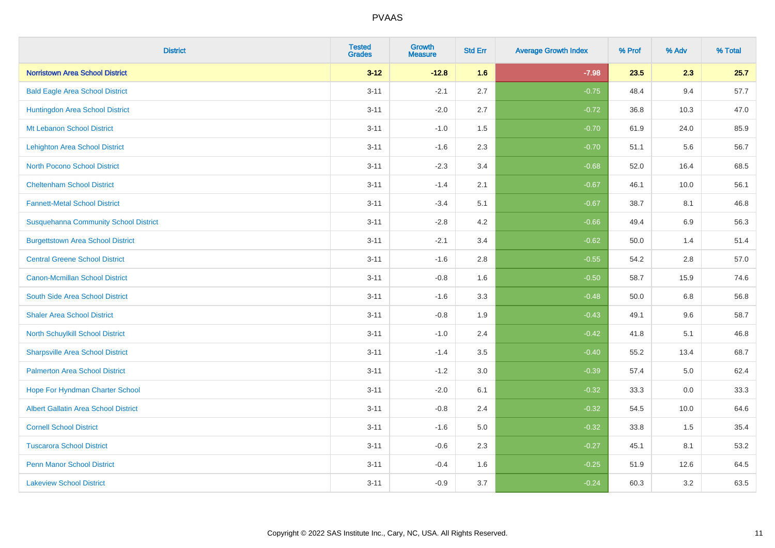| <b>District</b>                              | <b>Tested</b><br><b>Grades</b> | <b>Growth</b><br><b>Measure</b> | <b>Std Err</b> | <b>Average Growth Index</b> | % Prof | % Adv   | % Total |
|----------------------------------------------|--------------------------------|---------------------------------|----------------|-----------------------------|--------|---------|---------|
| <b>Norristown Area School District</b>       | $3 - 12$                       | $-12.8$                         | 1.6            | $-7.98$                     | 23.5   | 2.3     | 25.7    |
| <b>Bald Eagle Area School District</b>       | $3 - 11$                       | $-2.1$                          | 2.7            | $-0.75$                     | 48.4   | 9.4     | 57.7    |
| Huntingdon Area School District              | $3 - 11$                       | $-2.0$                          | 2.7            | $-0.72$                     | 36.8   | 10.3    | 47.0    |
| Mt Lebanon School District                   | $3 - 11$                       | $-1.0$                          | 1.5            | $-0.70$                     | 61.9   | 24.0    | 85.9    |
| <b>Lehighton Area School District</b>        | $3 - 11$                       | $-1.6$                          | 2.3            | $-0.70$                     | 51.1   | 5.6     | 56.7    |
| <b>North Pocono School District</b>          | $3 - 11$                       | $-2.3$                          | 3.4            | $-0.68$                     | 52.0   | 16.4    | 68.5    |
| <b>Cheltenham School District</b>            | $3 - 11$                       | $-1.4$                          | 2.1            | $-0.67$                     | 46.1   | 10.0    | 56.1    |
| <b>Fannett-Metal School District</b>         | $3 - 11$                       | $-3.4$                          | 5.1            | $-0.67$                     | 38.7   | 8.1     | 46.8    |
| <b>Susquehanna Community School District</b> | $3 - 11$                       | $-2.8$                          | 4.2            | $-0.66$                     | 49.4   | 6.9     | 56.3    |
| <b>Burgettstown Area School District</b>     | $3 - 11$                       | $-2.1$                          | 3.4            | $-0.62$                     | 50.0   | 1.4     | 51.4    |
| <b>Central Greene School District</b>        | $3 - 11$                       | $-1.6$                          | 2.8            | $-0.55$                     | 54.2   | 2.8     | 57.0    |
| <b>Canon-Mcmillan School District</b>        | $3 - 11$                       | $-0.8$                          | 1.6            | $-0.50$                     | 58.7   | 15.9    | 74.6    |
| South Side Area School District              | $3 - 11$                       | $-1.6$                          | 3.3            | $-0.48$                     | 50.0   | 6.8     | 56.8    |
| <b>Shaler Area School District</b>           | $3 - 11$                       | $-0.8$                          | 1.9            | $-0.43$                     | 49.1   | 9.6     | 58.7    |
| North Schuylkill School District             | $3 - 11$                       | $-1.0$                          | 2.4            | $-0.42$                     | 41.8   | 5.1     | 46.8    |
| <b>Sharpsville Area School District</b>      | $3 - 11$                       | $-1.4$                          | 3.5            | $-0.40$                     | 55.2   | 13.4    | 68.7    |
| <b>Palmerton Area School District</b>        | $3 - 11$                       | $-1.2$                          | 3.0            | $-0.39$                     | 57.4   | $5.0\,$ | 62.4    |
| Hope For Hyndman Charter School              | $3 - 11$                       | $-2.0$                          | 6.1            | $-0.32$                     | 33.3   | 0.0     | 33.3    |
| Albert Gallatin Area School District         | $3 - 11$                       | $-0.8$                          | 2.4            | $-0.32$                     | 54.5   | 10.0    | 64.6    |
| <b>Cornell School District</b>               | $3 - 11$                       | $-1.6$                          | 5.0            | $-0.32$                     | 33.8   | 1.5     | 35.4    |
| <b>Tuscarora School District</b>             | $3 - 11$                       | $-0.6$                          | 2.3            | $-0.27$                     | 45.1   | 8.1     | 53.2    |
| <b>Penn Manor School District</b>            | $3 - 11$                       | $-0.4$                          | 1.6            | $-0.25$                     | 51.9   | 12.6    | 64.5    |
| <b>Lakeview School District</b>              | $3 - 11$                       | $-0.9$                          | 3.7            | $-0.24$                     | 60.3   | 3.2     | 63.5    |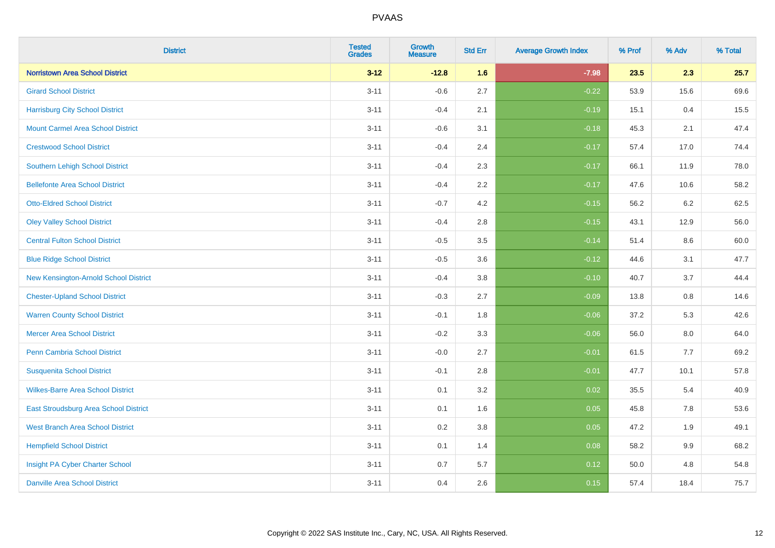| <b>District</b>                          | <b>Tested</b><br><b>Grades</b> | <b>Growth</b><br><b>Measure</b> | <b>Std Err</b> | <b>Average Growth Index</b> | % Prof | % Adv   | % Total |
|------------------------------------------|--------------------------------|---------------------------------|----------------|-----------------------------|--------|---------|---------|
| <b>Norristown Area School District</b>   | $3 - 12$                       | $-12.8$                         | 1.6            | $-7.98$                     | 23.5   | 2.3     | 25.7    |
| <b>Girard School District</b>            | $3 - 11$                       | $-0.6$                          | 2.7            | $-0.22$                     | 53.9   | 15.6    | 69.6    |
| <b>Harrisburg City School District</b>   | $3 - 11$                       | $-0.4$                          | 2.1            | $-0.19$                     | 15.1   | 0.4     | 15.5    |
| <b>Mount Carmel Area School District</b> | $3 - 11$                       | $-0.6$                          | 3.1            | $-0.18$                     | 45.3   | 2.1     | 47.4    |
| <b>Crestwood School District</b>         | $3 - 11$                       | $-0.4$                          | 2.4            | $-0.17$                     | 57.4   | 17.0    | 74.4    |
| <b>Southern Lehigh School District</b>   | $3 - 11$                       | $-0.4$                          | 2.3            | $-0.17$                     | 66.1   | 11.9    | 78.0    |
| <b>Bellefonte Area School District</b>   | $3 - 11$                       | $-0.4$                          | 2.2            | $-0.17$                     | 47.6   | 10.6    | 58.2    |
| <b>Otto-Eldred School District</b>       | $3 - 11$                       | $-0.7$                          | 4.2            | $-0.15$                     | 56.2   | 6.2     | 62.5    |
| <b>Oley Valley School District</b>       | $3 - 11$                       | $-0.4$                          | 2.8            | $-0.15$                     | 43.1   | 12.9    | 56.0    |
| <b>Central Fulton School District</b>    | $3 - 11$                       | $-0.5$                          | 3.5            | $-0.14$                     | 51.4   | 8.6     | 60.0    |
| <b>Blue Ridge School District</b>        | $3 - 11$                       | $-0.5$                          | 3.6            | $-0.12$                     | 44.6   | 3.1     | 47.7    |
| New Kensington-Arnold School District    | $3 - 11$                       | $-0.4$                          | 3.8            | $-0.10$                     | 40.7   | 3.7     | 44.4    |
| <b>Chester-Upland School District</b>    | $3 - 11$                       | $-0.3$                          | 2.7            | $-0.09$                     | 13.8   | $0.8\,$ | 14.6    |
| <b>Warren County School District</b>     | $3 - 11$                       | $-0.1$                          | 1.8            | $-0.06$                     | 37.2   | 5.3     | 42.6    |
| <b>Mercer Area School District</b>       | $3 - 11$                       | $-0.2$                          | 3.3            | $-0.06$                     | 56.0   | $8.0\,$ | 64.0    |
| Penn Cambria School District             | $3 - 11$                       | $-0.0$                          | 2.7            | $-0.01$                     | 61.5   | 7.7     | 69.2    |
| <b>Susquenita School District</b>        | $3 - 11$                       | $-0.1$                          | 2.8            | $-0.01$                     | 47.7   | 10.1    | 57.8    |
| <b>Wilkes-Barre Area School District</b> | $3 - 11$                       | 0.1                             | 3.2            | 0.02                        | 35.5   | 5.4     | 40.9    |
| East Stroudsburg Area School District    | $3 - 11$                       | 0.1                             | 1.6            | 0.05                        | 45.8   | 7.8     | 53.6    |
| <b>West Branch Area School District</b>  | $3 - 11$                       | 0.2                             | 3.8            | 0.05                        | 47.2   | 1.9     | 49.1    |
| <b>Hempfield School District</b>         | $3 - 11$                       | 0.1                             | 1.4            | 0.08                        | 58.2   | 9.9     | 68.2    |
| Insight PA Cyber Charter School          | $3 - 11$                       | 0.7                             | 5.7            | 0.12                        | 50.0   | 4.8     | 54.8    |
| <b>Danville Area School District</b>     | $3 - 11$                       | 0.4                             | 2.6            | 0.15                        | 57.4   | 18.4    | 75.7    |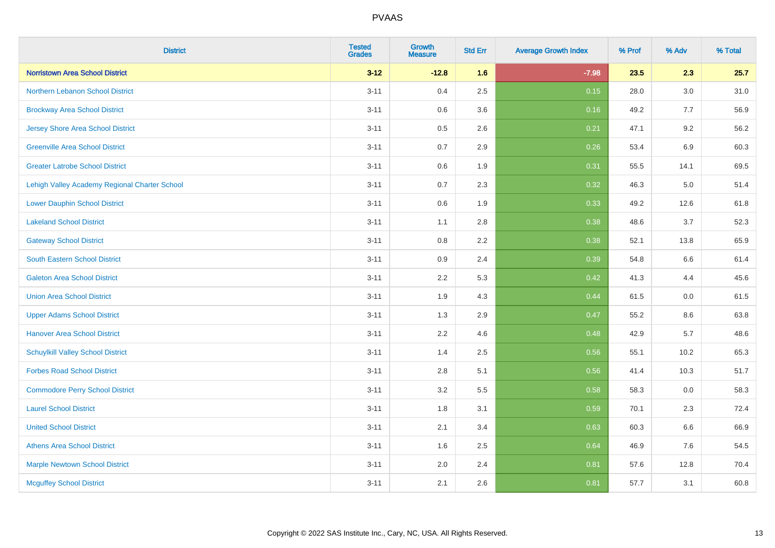| <b>District</b>                               | <b>Tested</b><br><b>Grades</b> | Growth<br><b>Measure</b> | <b>Std Err</b> | <b>Average Growth Index</b> | % Prof | % Adv | % Total |
|-----------------------------------------------|--------------------------------|--------------------------|----------------|-----------------------------|--------|-------|---------|
| <b>Norristown Area School District</b>        | $3 - 12$                       | $-12.8$                  | 1.6            | $-7.98$                     | 23.5   | 2.3   | 25.7    |
| Northern Lebanon School District              | $3 - 11$                       | 0.4                      | 2.5            | 0.15                        | 28.0   | 3.0   | 31.0    |
| <b>Brockway Area School District</b>          | $3 - 11$                       | 0.6                      | 3.6            | 0.16                        | 49.2   | 7.7   | 56.9    |
| Jersey Shore Area School District             | $3 - 11$                       | 0.5                      | 2.6            | 0.21                        | 47.1   | 9.2   | 56.2    |
| <b>Greenville Area School District</b>        | $3 - 11$                       | 0.7                      | 2.9            | 0.26                        | 53.4   | 6.9   | 60.3    |
| <b>Greater Latrobe School District</b>        | $3 - 11$                       | $0.6\,$                  | 1.9            | 0.31                        | 55.5   | 14.1  | 69.5    |
| Lehigh Valley Academy Regional Charter School | $3 - 11$                       | 0.7                      | 2.3            | 0.32                        | 46.3   | 5.0   | 51.4    |
| <b>Lower Dauphin School District</b>          | $3 - 11$                       | 0.6                      | 1.9            | 0.33                        | 49.2   | 12.6  | 61.8    |
| <b>Lakeland School District</b>               | $3 - 11$                       | 1.1                      | 2.8            | 0.38                        | 48.6   | 3.7   | 52.3    |
| <b>Gateway School District</b>                | $3 - 11$                       | 0.8                      | 2.2            | 0.38                        | 52.1   | 13.8  | 65.9    |
| <b>South Eastern School District</b>          | $3 - 11$                       | 0.9                      | 2.4            | 0.39                        | 54.8   | 6.6   | 61.4    |
| <b>Galeton Area School District</b>           | $3 - 11$                       | 2.2                      | 5.3            | 0.42                        | 41.3   | 4.4   | 45.6    |
| <b>Union Area School District</b>             | $3 - 11$                       | 1.9                      | 4.3            | 0.44                        | 61.5   | 0.0   | 61.5    |
| <b>Upper Adams School District</b>            | $3 - 11$                       | 1.3                      | 2.9            | 0.47                        | 55.2   | 8.6   | 63.8    |
| <b>Hanover Area School District</b>           | $3 - 11$                       | 2.2                      | 4.6            | 0.48                        | 42.9   | 5.7   | 48.6    |
| <b>Schuylkill Valley School District</b>      | $3 - 11$                       | 1.4                      | 2.5            | 0.56                        | 55.1   | 10.2  | 65.3    |
| <b>Forbes Road School District</b>            | $3 - 11$                       | 2.8                      | 5.1            | 0.56                        | 41.4   | 10.3  | 51.7    |
| <b>Commodore Perry School District</b>        | $3 - 11$                       | 3.2                      | 5.5            | 0.58                        | 58.3   | 0.0   | 58.3    |
| <b>Laurel School District</b>                 | $3 - 11$                       | 1.8                      | 3.1            | 0.59                        | 70.1   | 2.3   | 72.4    |
| <b>United School District</b>                 | $3 - 11$                       | 2.1                      | 3.4            | 0.63                        | 60.3   | 6.6   | 66.9    |
| <b>Athens Area School District</b>            | $3 - 11$                       | 1.6                      | 2.5            | 0.64                        | 46.9   | 7.6   | 54.5    |
| <b>Marple Newtown School District</b>         | $3 - 11$                       | 2.0                      | 2.4            | 0.81                        | 57.6   | 12.8  | 70.4    |
| <b>Mcguffey School District</b>               | $3 - 11$                       | 2.1                      | 2.6            | 0.81                        | 57.7   | 3.1   | 60.8    |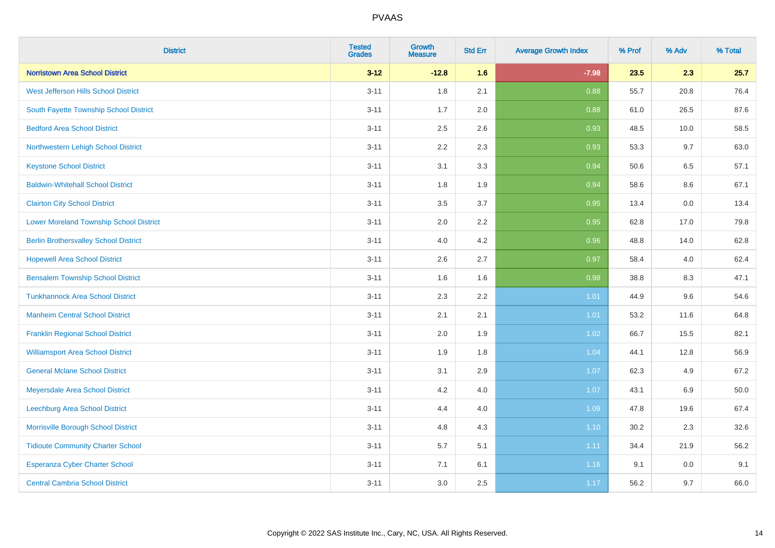| <b>District</b>                                | <b>Tested</b><br><b>Grades</b> | <b>Growth</b><br><b>Measure</b> | <b>Std Err</b> | <b>Average Growth Index</b> | % Prof | % Adv   | % Total  |
|------------------------------------------------|--------------------------------|---------------------------------|----------------|-----------------------------|--------|---------|----------|
| <b>Norristown Area School District</b>         | $3 - 12$                       | $-12.8$                         | 1.6            | $-7.98$                     | 23.5   | 2.3     | 25.7     |
| West Jefferson Hills School District           | $3 - 11$                       | 1.8                             | 2.1            | 0.88                        | 55.7   | 20.8    | 76.4     |
| South Fayette Township School District         | $3 - 11$                       | 1.7                             | 2.0            | 0.88                        | 61.0   | 26.5    | 87.6     |
| <b>Bedford Area School District</b>            | $3 - 11$                       | 2.5                             | 2.6            | 0.93                        | 48.5   | 10.0    | 58.5     |
| Northwestern Lehigh School District            | $3 - 11$                       | 2.2                             | 2.3            | 0.93                        | 53.3   | 9.7     | 63.0     |
| <b>Keystone School District</b>                | $3 - 11$                       | 3.1                             | 3.3            | 0.94                        | 50.6   | 6.5     | 57.1     |
| <b>Baldwin-Whitehall School District</b>       | $3 - 11$                       | 1.8                             | 1.9            | 0.94                        | 58.6   | $8.6\,$ | 67.1     |
| <b>Clairton City School District</b>           | $3 - 11$                       | 3.5                             | 3.7            | 0.95                        | 13.4   | 0.0     | 13.4     |
| <b>Lower Moreland Township School District</b> | $3 - 11$                       | 2.0                             | 2.2            | 0.95                        | 62.8   | 17.0    | 79.8     |
| <b>Berlin Brothersvalley School District</b>   | $3 - 11$                       | 4.0                             | 4.2            | 0.96                        | 48.8   | 14.0    | 62.8     |
| <b>Hopewell Area School District</b>           | $3 - 11$                       | 2.6                             | 2.7            | 0.97                        | 58.4   | 4.0     | 62.4     |
| <b>Bensalem Township School District</b>       | $3 - 11$                       | 1.6                             | 1.6            | 0.98                        | 38.8   | 8.3     | 47.1     |
| <b>Tunkhannock Area School District</b>        | $3 - 11$                       | 2.3                             | 2.2            | 1.01                        | 44.9   | 9.6     | 54.6     |
| <b>Manheim Central School District</b>         | $3 - 11$                       | 2.1                             | 2.1            | 1.01                        | 53.2   | 11.6    | 64.8     |
| <b>Franklin Regional School District</b>       | $3 - 11$                       | 2.0                             | 1.9            | 1.02                        | 66.7   | 15.5    | 82.1     |
| <b>Williamsport Area School District</b>       | $3 - 11$                       | 1.9                             | 1.8            | 1.04                        | 44.1   | 12.8    | 56.9     |
| <b>General Mclane School District</b>          | $3 - 11$                       | 3.1                             | 2.9            | 1.07                        | 62.3   | 4.9     | 67.2     |
| Meyersdale Area School District                | $3 - 11$                       | 4.2                             | 4.0            | 1.07                        | 43.1   | 6.9     | $50.0\,$ |
| Leechburg Area School District                 | $3 - 11$                       | 4.4                             | 4.0            | 1.09                        | 47.8   | 19.6    | 67.4     |
| Morrisville Borough School District            | $3 - 11$                       | 4.8                             | 4.3            | 1.10                        | 30.2   | 2.3     | 32.6     |
| <b>Tidioute Community Charter School</b>       | $3 - 11$                       | 5.7                             | 5.1            | 1.11                        | 34.4   | 21.9    | 56.2     |
| Esperanza Cyber Charter School                 | $3 - 11$                       | 7.1                             | 6.1            | 1.16                        | 9.1    | 0.0     | 9.1      |
| <b>Central Cambria School District</b>         | $3 - 11$                       | 3.0                             | 2.5            | 1.17                        | 56.2   | 9.7     | 66.0     |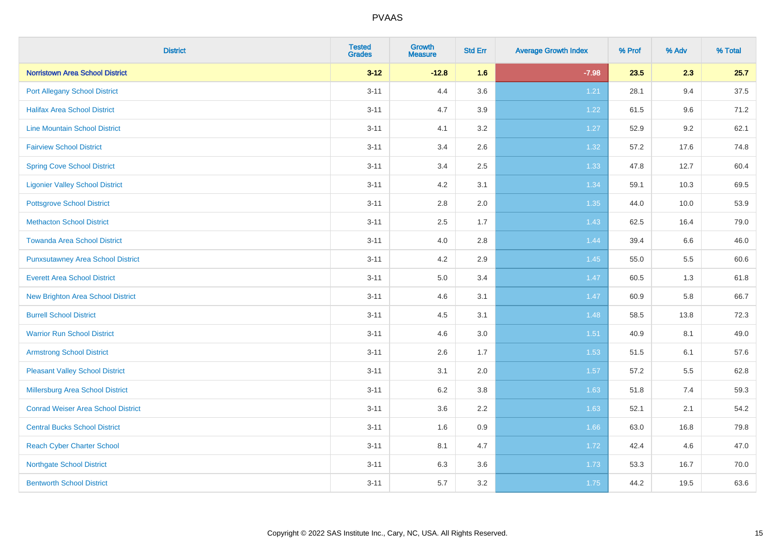| <b>District</b>                           | <b>Tested</b><br>Grades | <b>Growth</b><br><b>Measure</b> | <b>Std Err</b> | <b>Average Growth Index</b> | % Prof | % Adv | % Total |
|-------------------------------------------|-------------------------|---------------------------------|----------------|-----------------------------|--------|-------|---------|
| <b>Norristown Area School District</b>    | $3 - 12$                | $-12.8$                         | 1.6            | $-7.98$                     | 23.5   | 2.3   | 25.7    |
| <b>Port Allegany School District</b>      | $3 - 11$                | 4.4                             | 3.6            | 1.21                        | 28.1   | 9.4   | 37.5    |
| <b>Halifax Area School District</b>       | $3 - 11$                | 4.7                             | 3.9            | 1.22                        | 61.5   | 9.6   | 71.2    |
| <b>Line Mountain School District</b>      | $3 - 11$                | 4.1                             | 3.2            | 1.27                        | 52.9   | 9.2   | 62.1    |
| <b>Fairview School District</b>           | $3 - 11$                | 3.4                             | 2.6            | 1.32                        | 57.2   | 17.6  | 74.8    |
| <b>Spring Cove School District</b>        | $3 - 11$                | 3.4                             | 2.5            | 1.33                        | 47.8   | 12.7  | 60.4    |
| <b>Ligonier Valley School District</b>    | $3 - 11$                | 4.2                             | 3.1            | 1.34                        | 59.1   | 10.3  | 69.5    |
| <b>Pottsgrove School District</b>         | $3 - 11$                | 2.8                             | 2.0            | 1.35                        | 44.0   | 10.0  | 53.9    |
| <b>Methacton School District</b>          | $3 - 11$                | 2.5                             | 1.7            | 1.43                        | 62.5   | 16.4  | 79.0    |
| <b>Towanda Area School District</b>       | $3 - 11$                | 4.0                             | 2.8            | 1.44                        | 39.4   | 6.6   | 46.0    |
| <b>Punxsutawney Area School District</b>  | $3 - 11$                | 4.2                             | 2.9            | 1.45                        | 55.0   | 5.5   | 60.6    |
| <b>Everett Area School District</b>       | $3 - 11$                | 5.0                             | 3.4            | 1.47                        | 60.5   | 1.3   | 61.8    |
| New Brighton Area School District         | $3 - 11$                | 4.6                             | 3.1            | 1.47                        | 60.9   | 5.8   | 66.7    |
| <b>Burrell School District</b>            | $3 - 11$                | 4.5                             | 3.1            | 1.48                        | 58.5   | 13.8  | 72.3    |
| <b>Warrior Run School District</b>        | $3 - 11$                | 4.6                             | 3.0            | 1.51                        | 40.9   | 8.1   | 49.0    |
| <b>Armstrong School District</b>          | $3 - 11$                | 2.6                             | 1.7            | 1.53                        | 51.5   | 6.1   | 57.6    |
| <b>Pleasant Valley School District</b>    | $3 - 11$                | 3.1                             | 2.0            | 1.57                        | 57.2   | 5.5   | 62.8    |
| Millersburg Area School District          | $3 - 11$                | 6.2                             | 3.8            | 1.63                        | 51.8   | 7.4   | 59.3    |
| <b>Conrad Weiser Area School District</b> | $3 - 11$                | 3.6                             | 2.2            | 1.63                        | 52.1   | 2.1   | 54.2    |
| <b>Central Bucks School District</b>      | $3 - 11$                | 1.6                             | 0.9            | 1.66                        | 63.0   | 16.8  | 79.8    |
| <b>Reach Cyber Charter School</b>         | $3 - 11$                | 8.1                             | 4.7            | 1.72                        | 42.4   | 4.6   | 47.0    |
| <b>Northgate School District</b>          | $3 - 11$                | 6.3                             | 3.6            | 1.73                        | 53.3   | 16.7  | 70.0    |
| <b>Bentworth School District</b>          | $3 - 11$                | 5.7                             | 3.2            | 1.75                        | 44.2   | 19.5  | 63.6    |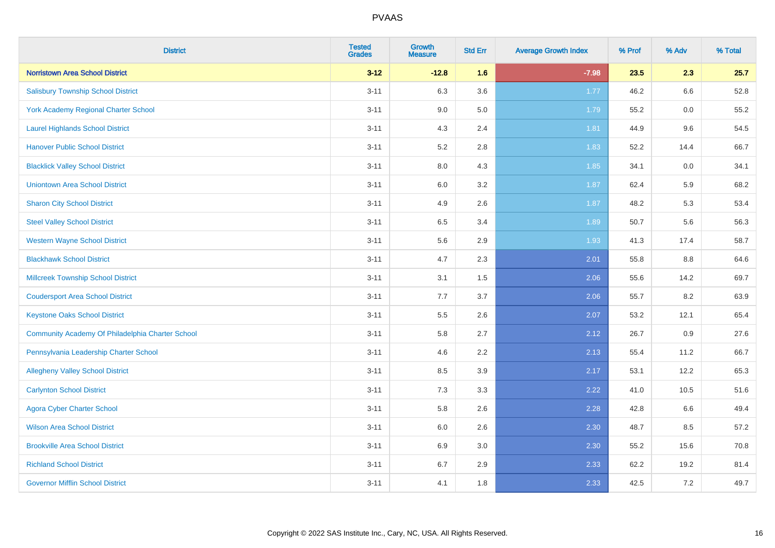| <b>District</b>                                  | <b>Tested</b><br><b>Grades</b> | <b>Growth</b><br><b>Measure</b> | <b>Std Err</b> | <b>Average Growth Index</b> | % Prof | % Adv | % Total |
|--------------------------------------------------|--------------------------------|---------------------------------|----------------|-----------------------------|--------|-------|---------|
| <b>Norristown Area School District</b>           | $3 - 12$                       | $-12.8$                         | 1.6            | $-7.98$                     | 23.5   | 2.3   | 25.7    |
| <b>Salisbury Township School District</b>        | $3 - 11$                       | 6.3                             | 3.6            | 1.77                        | 46.2   | 6.6   | 52.8    |
| York Academy Regional Charter School             | $3 - 11$                       | 9.0                             | 5.0            | 1.79                        | 55.2   | 0.0   | 55.2    |
| <b>Laurel Highlands School District</b>          | $3 - 11$                       | 4.3                             | 2.4            | 1.81                        | 44.9   | 9.6   | 54.5    |
| <b>Hanover Public School District</b>            | $3 - 11$                       | 5.2                             | 2.8            | 1.83                        | 52.2   | 14.4  | 66.7    |
| <b>Blacklick Valley School District</b>          | $3 - 11$                       | $8.0\,$                         | 4.3            | 1.85                        | 34.1   | 0.0   | 34.1    |
| <b>Uniontown Area School District</b>            | $3 - 11$                       | $6.0\,$                         | 3.2            | 1.87                        | 62.4   | 5.9   | 68.2    |
| <b>Sharon City School District</b>               | $3 - 11$                       | 4.9                             | 2.6            | 1.87                        | 48.2   | 5.3   | 53.4    |
| <b>Steel Valley School District</b>              | $3 - 11$                       | 6.5                             | 3.4            | 1.89                        | 50.7   | 5.6   | 56.3    |
| <b>Western Wayne School District</b>             | $3 - 11$                       | $5.6\,$                         | 2.9            | 1.93                        | 41.3   | 17.4  | 58.7    |
| <b>Blackhawk School District</b>                 | $3 - 11$                       | 4.7                             | 2.3            | 2.01                        | 55.8   | 8.8   | 64.6    |
| <b>Millcreek Township School District</b>        | $3 - 11$                       | 3.1                             | 1.5            | 2.06                        | 55.6   | 14.2  | 69.7    |
| <b>Coudersport Area School District</b>          | $3 - 11$                       | 7.7                             | 3.7            | 2.06                        | 55.7   | 8.2   | 63.9    |
| <b>Keystone Oaks School District</b>             | $3 - 11$                       | $5.5\,$                         | 2.6            | 2.07                        | 53.2   | 12.1  | 65.4    |
| Community Academy Of Philadelphia Charter School | $3 - 11$                       | 5.8                             | 2.7            | 2.12                        | 26.7   | 0.9   | 27.6    |
| Pennsylvania Leadership Charter School           | $3 - 11$                       | 4.6                             | 2.2            | 2.13                        | 55.4   | 11.2  | 66.7    |
| <b>Allegheny Valley School District</b>          | $3 - 11$                       | 8.5                             | 3.9            | 2.17                        | 53.1   | 12.2  | 65.3    |
| <b>Carlynton School District</b>                 | $3 - 11$                       | 7.3                             | 3.3            | 2.22                        | 41.0   | 10.5  | 51.6    |
| <b>Agora Cyber Charter School</b>                | $3 - 11$                       | 5.8                             | 2.6            | 2.28                        | 42.8   | 6.6   | 49.4    |
| <b>Wilson Area School District</b>               | $3 - 11$                       | 6.0                             | 2.6            | 2.30                        | 48.7   | 8.5   | 57.2    |
| <b>Brookville Area School District</b>           | $3 - 11$                       | 6.9                             | 3.0            | 2.30                        | 55.2   | 15.6  | 70.8    |
| <b>Richland School District</b>                  | $3 - 11$                       | 6.7                             | 2.9            | 2.33                        | 62.2   | 19.2  | 81.4    |
| <b>Governor Mifflin School District</b>          | $3 - 11$                       | 4.1                             | 1.8            | 2.33                        | 42.5   | 7.2   | 49.7    |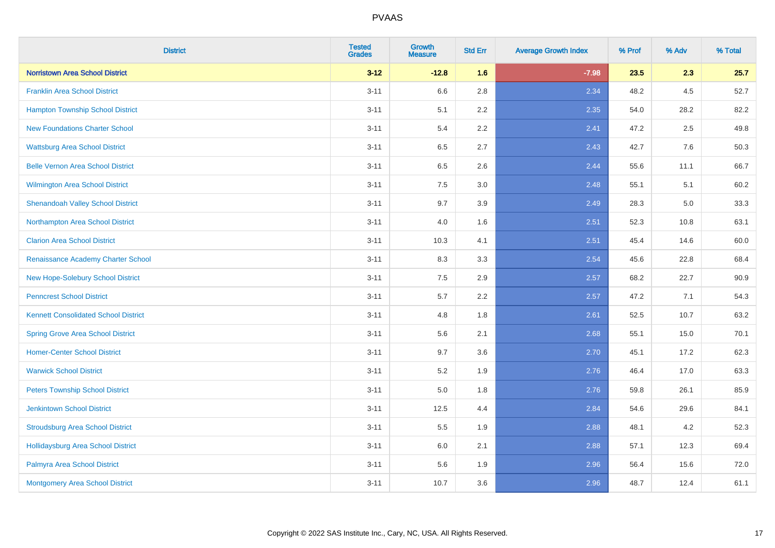| <b>District</b>                             | <b>Tested</b><br><b>Grades</b> | <b>Growth</b><br><b>Measure</b> | <b>Std Err</b> | <b>Average Growth Index</b> | % Prof | % Adv   | % Total |
|---------------------------------------------|--------------------------------|---------------------------------|----------------|-----------------------------|--------|---------|---------|
| <b>Norristown Area School District</b>      | $3 - 12$                       | $-12.8$                         | 1.6            | $-7.98$                     | 23.5   | 2.3     | 25.7    |
| <b>Franklin Area School District</b>        | $3 - 11$                       | 6.6                             | 2.8            | 2.34                        | 48.2   | $4.5\,$ | 52.7    |
| <b>Hampton Township School District</b>     | $3 - 11$                       | 5.1                             | 2.2            | 2.35                        | 54.0   | 28.2    | 82.2    |
| <b>New Foundations Charter School</b>       | $3 - 11$                       | 5.4                             | 2.2            | 2.41                        | 47.2   | 2.5     | 49.8    |
| <b>Wattsburg Area School District</b>       | $3 - 11$                       | 6.5                             | 2.7            | 2.43                        | 42.7   | 7.6     | 50.3    |
| <b>Belle Vernon Area School District</b>    | $3 - 11$                       | 6.5                             | 2.6            | 2.44                        | 55.6   | 11.1    | 66.7    |
| Wilmington Area School District             | $3 - 11$                       | 7.5                             | 3.0            | 2.48                        | 55.1   | 5.1     | 60.2    |
| <b>Shenandoah Valley School District</b>    | $3 - 11$                       | 9.7                             | 3.9            | 2.49                        | 28.3   | 5.0     | 33.3    |
| Northampton Area School District            | $3 - 11$                       | 4.0                             | 1.6            | 2.51                        | 52.3   | 10.8    | 63.1    |
| <b>Clarion Area School District</b>         | $3 - 11$                       | 10.3                            | 4.1            | 2.51                        | 45.4   | 14.6    | 60.0    |
| Renaissance Academy Charter School          | $3 - 11$                       | 8.3                             | 3.3            | 2.54                        | 45.6   | 22.8    | 68.4    |
| New Hope-Solebury School District           | $3 - 11$                       | 7.5                             | 2.9            | 2.57                        | 68.2   | 22.7    | 90.9    |
| <b>Penncrest School District</b>            | $3 - 11$                       | 5.7                             | 2.2            | 2.57                        | 47.2   | 7.1     | 54.3    |
| <b>Kennett Consolidated School District</b> | $3 - 11$                       | 4.8                             | 1.8            | 2.61                        | 52.5   | 10.7    | 63.2    |
| <b>Spring Grove Area School District</b>    | $3 - 11$                       | 5.6                             | 2.1            | 2.68                        | 55.1   | 15.0    | 70.1    |
| <b>Homer-Center School District</b>         | $3 - 11$                       | 9.7                             | 3.6            | 2.70                        | 45.1   | 17.2    | 62.3    |
| <b>Warwick School District</b>              | $3 - 11$                       | 5.2                             | 1.9            | 2.76                        | 46.4   | 17.0    | 63.3    |
| <b>Peters Township School District</b>      | $3 - 11$                       | 5.0                             | 1.8            | 2.76                        | 59.8   | 26.1    | 85.9    |
| <b>Jenkintown School District</b>           | $3 - 11$                       | 12.5                            | 4.4            | 2.84                        | 54.6   | 29.6    | 84.1    |
| <b>Stroudsburg Area School District</b>     | $3 - 11$                       | 5.5                             | 1.9            | 2.88                        | 48.1   | 4.2     | 52.3    |
| <b>Hollidaysburg Area School District</b>   | $3 - 11$                       | 6.0                             | 2.1            | 2.88                        | 57.1   | 12.3    | 69.4    |
| Palmyra Area School District                | $3 - 11$                       | 5.6                             | 1.9            | 2.96                        | 56.4   | 15.6    | 72.0    |
| Montgomery Area School District             | $3 - 11$                       | 10.7                            | 3.6            | 2.96                        | 48.7   | 12.4    | 61.1    |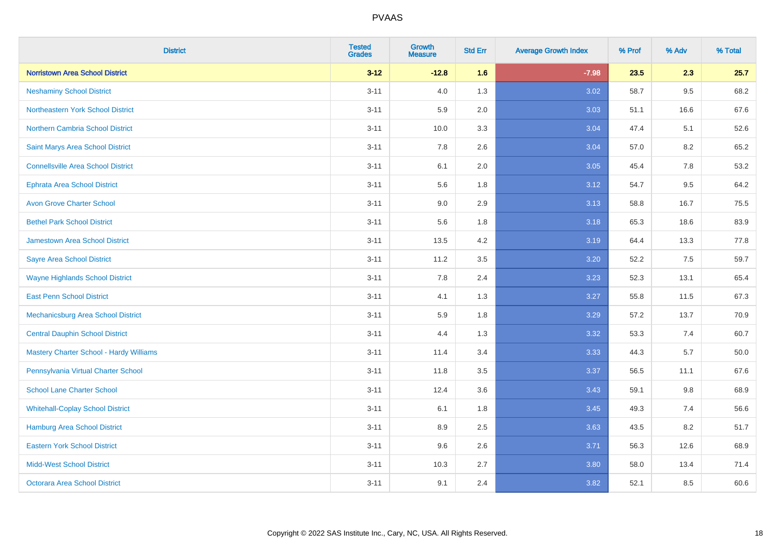| <b>District</b>                                | <b>Tested</b><br><b>Grades</b> | <b>Growth</b><br><b>Measure</b> | <b>Std Err</b> | <b>Average Growth Index</b> | % Prof | % Adv   | % Total |
|------------------------------------------------|--------------------------------|---------------------------------|----------------|-----------------------------|--------|---------|---------|
| <b>Norristown Area School District</b>         | $3 - 12$                       | $-12.8$                         | 1.6            | $-7.98$                     | 23.5   | 2.3     | 25.7    |
| <b>Neshaminy School District</b>               | $3 - 11$                       | 4.0                             | 1.3            | 3.02                        | 58.7   | $9.5\,$ | 68.2    |
| Northeastern York School District              | $3 - 11$                       | 5.9                             | 2.0            | 3.03                        | 51.1   | 16.6    | 67.6    |
| <b>Northern Cambria School District</b>        | $3 - 11$                       | 10.0                            | 3.3            | 3.04                        | 47.4   | 5.1     | 52.6    |
| Saint Marys Area School District               | $3 - 11$                       | 7.8                             | 2.6            | 3.04                        | 57.0   | 8.2     | 65.2    |
| <b>Connellsville Area School District</b>      | $3 - 11$                       | 6.1                             | 2.0            | 3.05                        | 45.4   | 7.8     | 53.2    |
| <b>Ephrata Area School District</b>            | $3 - 11$                       | 5.6                             | 1.8            | 3.12                        | 54.7   | 9.5     | 64.2    |
| <b>Avon Grove Charter School</b>               | $3 - 11$                       | 9.0                             | 2.9            | 3.13                        | 58.8   | 16.7    | 75.5    |
| <b>Bethel Park School District</b>             | $3 - 11$                       | 5.6                             | 1.8            | 3.18                        | 65.3   | 18.6    | 83.9    |
| <b>Jamestown Area School District</b>          | $3 - 11$                       | 13.5                            | 4.2            | 3.19                        | 64.4   | 13.3    | 77.8    |
| <b>Sayre Area School District</b>              | $3 - 11$                       | 11.2                            | 3.5            | 3.20                        | 52.2   | 7.5     | 59.7    |
| <b>Wayne Highlands School District</b>         | $3 - 11$                       | 7.8                             | 2.4            | 3.23                        | 52.3   | 13.1    | 65.4    |
| <b>East Penn School District</b>               | $3 - 11$                       | 4.1                             | 1.3            | 3.27                        | 55.8   | 11.5    | 67.3    |
| <b>Mechanicsburg Area School District</b>      | $3 - 11$                       | 5.9                             | 1.8            | 3.29                        | 57.2   | 13.7    | 70.9    |
| <b>Central Dauphin School District</b>         | $3 - 11$                       | 4.4                             | 1.3            | 3.32                        | 53.3   | 7.4     | 60.7    |
| <b>Mastery Charter School - Hardy Williams</b> | $3 - 11$                       | 11.4                            | 3.4            | 3.33                        | 44.3   | 5.7     | 50.0    |
| Pennsylvania Virtual Charter School            | $3 - 11$                       | 11.8                            | 3.5            | 3.37                        | 56.5   | 11.1    | 67.6    |
| <b>School Lane Charter School</b>              | $3 - 11$                       | 12.4                            | 3.6            | 3.43                        | 59.1   | 9.8     | 68.9    |
| <b>Whitehall-Coplay School District</b>        | $3 - 11$                       | 6.1                             | 1.8            | 3.45                        | 49.3   | 7.4     | 56.6    |
| <b>Hamburg Area School District</b>            | $3 - 11$                       | 8.9                             | 2.5            | 3.63                        | 43.5   | 8.2     | 51.7    |
| <b>Eastern York School District</b>            | $3 - 11$                       | 9.6                             | 2.6            | 3.71                        | 56.3   | 12.6    | 68.9    |
| <b>Midd-West School District</b>               | $3 - 11$                       | 10.3                            | 2.7            | 3.80                        | 58.0   | 13.4    | 71.4    |
| <b>Octorara Area School District</b>           | $3 - 11$                       | 9.1                             | 2.4            | 3.82                        | 52.1   | 8.5     | 60.6    |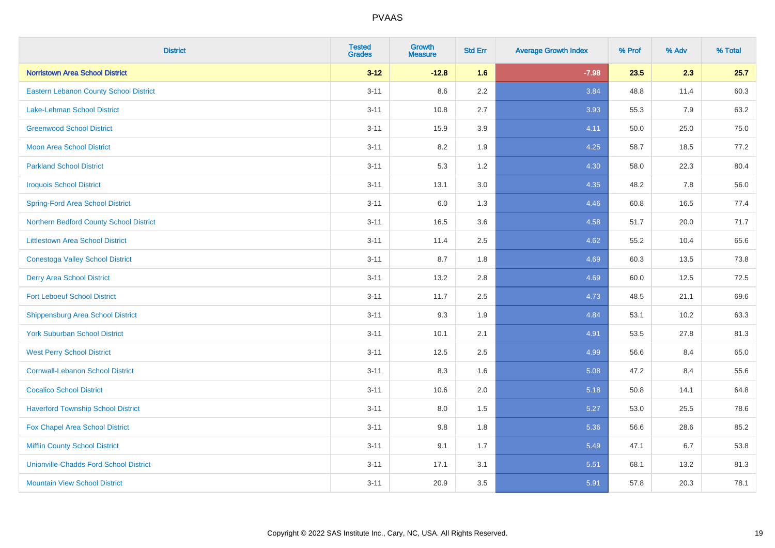| <b>District</b>                               | <b>Tested</b><br><b>Grades</b> | <b>Growth</b><br><b>Measure</b> | <b>Std Err</b> | <b>Average Growth Index</b> | % Prof | % Adv | % Total |
|-----------------------------------------------|--------------------------------|---------------------------------|----------------|-----------------------------|--------|-------|---------|
| <b>Norristown Area School District</b>        | $3 - 12$                       | $-12.8$                         | 1.6            | $-7.98$                     | 23.5   | 2.3   | 25.7    |
| <b>Eastern Lebanon County School District</b> | $3 - 11$                       | 8.6                             | 2.2            | 3.84                        | 48.8   | 11.4  | 60.3    |
| Lake-Lehman School District                   | $3 - 11$                       | 10.8                            | 2.7            | 3.93                        | 55.3   | 7.9   | 63.2    |
| <b>Greenwood School District</b>              | $3 - 11$                       | 15.9                            | 3.9            | 4.11                        | 50.0   | 25.0  | 75.0    |
| <b>Moon Area School District</b>              | $3 - 11$                       | 8.2                             | 1.9            | 4.25                        | 58.7   | 18.5  | 77.2    |
| <b>Parkland School District</b>               | $3 - 11$                       | 5.3                             | 1.2            | 4.30                        | 58.0   | 22.3  | 80.4    |
| <b>Iroquois School District</b>               | $3 - 11$                       | 13.1                            | 3.0            | 4.35                        | 48.2   | 7.8   | 56.0    |
| <b>Spring-Ford Area School District</b>       | $3 - 11$                       | 6.0                             | 1.3            | 4.46                        | 60.8   | 16.5  | 77.4    |
| Northern Bedford County School District       | $3 - 11$                       | 16.5                            | 3.6            | 4.58                        | 51.7   | 20.0  | 71.7    |
| <b>Littlestown Area School District</b>       | $3 - 11$                       | 11.4                            | 2.5            | 4.62                        | 55.2   | 10.4  | 65.6    |
| <b>Conestoga Valley School District</b>       | $3 - 11$                       | 8.7                             | 1.8            | 4.69                        | 60.3   | 13.5  | 73.8    |
| <b>Derry Area School District</b>             | $3 - 11$                       | 13.2                            | 2.8            | 4.69                        | 60.0   | 12.5  | 72.5    |
| <b>Fort Leboeuf School District</b>           | $3 - 11$                       | 11.7                            | 2.5            | 4.73                        | 48.5   | 21.1  | 69.6    |
| <b>Shippensburg Area School District</b>      | $3 - 11$                       | 9.3                             | 1.9            | 4.84                        | 53.1   | 10.2  | 63.3    |
| <b>York Suburban School District</b>          | $3 - 11$                       | 10.1                            | 2.1            | 4.91                        | 53.5   | 27.8  | 81.3    |
| <b>West Perry School District</b>             | $3 - 11$                       | 12.5                            | 2.5            | 4.99                        | 56.6   | 8.4   | 65.0    |
| <b>Cornwall-Lebanon School District</b>       | $3 - 11$                       | 8.3                             | 1.6            | 5.08                        | 47.2   | 8.4   | 55.6    |
| <b>Cocalico School District</b>               | $3 - 11$                       | 10.6                            | 2.0            | 5.18                        | 50.8   | 14.1  | 64.8    |
| <b>Haverford Township School District</b>     | $3 - 11$                       | 8.0                             | 1.5            | 5.27                        | 53.0   | 25.5  | 78.6    |
| Fox Chapel Area School District               | $3 - 11$                       | 9.8                             | 1.8            | 5.36                        | 56.6   | 28.6  | 85.2    |
| <b>Mifflin County School District</b>         | $3 - 11$                       | 9.1                             | 1.7            | 5.49                        | 47.1   | 6.7   | 53.8    |
| <b>Unionville-Chadds Ford School District</b> | $3 - 11$                       | 17.1                            | 3.1            | 5.51                        | 68.1   | 13.2  | 81.3    |
| <b>Mountain View School District</b>          | $3 - 11$                       | 20.9                            | 3.5            | 5.91                        | 57.8   | 20.3  | 78.1    |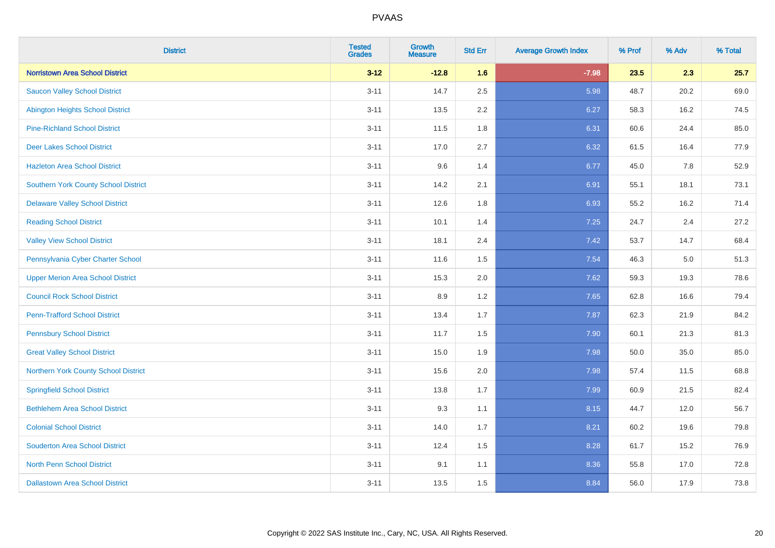| <b>District</b>                             | <b>Tested</b><br><b>Grades</b> | Growth<br><b>Measure</b> | <b>Std Err</b> | <b>Average Growth Index</b> | % Prof | % Adv | % Total |
|---------------------------------------------|--------------------------------|--------------------------|----------------|-----------------------------|--------|-------|---------|
| <b>Norristown Area School District</b>      | $3 - 12$                       | $-12.8$                  | 1.6            | $-7.98$                     | 23.5   | 2.3   | 25.7    |
| <b>Saucon Valley School District</b>        | $3 - 11$                       | 14.7                     | 2.5            | 5.98                        | 48.7   | 20.2  | 69.0    |
| <b>Abington Heights School District</b>     | $3 - 11$                       | 13.5                     | 2.2            | 6.27                        | 58.3   | 16.2  | 74.5    |
| <b>Pine-Richland School District</b>        | $3 - 11$                       | 11.5                     | 1.8            | 6.31                        | 60.6   | 24.4  | 85.0    |
| <b>Deer Lakes School District</b>           | $3 - 11$                       | 17.0                     | 2.7            | 6.32                        | 61.5   | 16.4  | 77.9    |
| <b>Hazleton Area School District</b>        | $3 - 11$                       | 9.6                      | 1.4            | 6.77                        | 45.0   | 7.8   | 52.9    |
| <b>Southern York County School District</b> | $3 - 11$                       | 14.2                     | 2.1            | 6.91                        | 55.1   | 18.1  | 73.1    |
| <b>Delaware Valley School District</b>      | $3 - 11$                       | 12.6                     | 1.8            | 6.93                        | 55.2   | 16.2  | 71.4    |
| <b>Reading School District</b>              | $3 - 11$                       | 10.1                     | 1.4            | 7.25                        | 24.7   | 2.4   | 27.2    |
| <b>Valley View School District</b>          | $3 - 11$                       | 18.1                     | 2.4            | 7.42                        | 53.7   | 14.7  | 68.4    |
| Pennsylvania Cyber Charter School           | $3 - 11$                       | 11.6                     | 1.5            | 7.54                        | 46.3   | 5.0   | 51.3    |
| <b>Upper Merion Area School District</b>    | $3 - 11$                       | 15.3                     | 2.0            | 7.62                        | 59.3   | 19.3  | 78.6    |
| <b>Council Rock School District</b>         | $3 - 11$                       | 8.9                      | 1.2            | 7.65                        | 62.8   | 16.6  | 79.4    |
| <b>Penn-Trafford School District</b>        | $3 - 11$                       | 13.4                     | 1.7            | 7.87                        | 62.3   | 21.9  | 84.2    |
| <b>Pennsbury School District</b>            | $3 - 11$                       | 11.7                     | 1.5            | 7.90                        | 60.1   | 21.3  | 81.3    |
| <b>Great Valley School District</b>         | $3 - 11$                       | 15.0                     | 1.9            | 7.98                        | 50.0   | 35.0  | 85.0    |
| Northern York County School District        | $3 - 11$                       | 15.6                     | 2.0            | 7.98                        | 57.4   | 11.5  | 68.8    |
| <b>Springfield School District</b>          | $3 - 11$                       | 13.8                     | 1.7            | 7.99                        | 60.9   | 21.5  | 82.4    |
| <b>Bethlehem Area School District</b>       | $3 - 11$                       | 9.3                      | 1.1            | 8.15                        | 44.7   | 12.0  | 56.7    |
| <b>Colonial School District</b>             | $3 - 11$                       | 14.0                     | 1.7            | 8.21                        | 60.2   | 19.6  | 79.8    |
| <b>Souderton Area School District</b>       | $3 - 11$                       | 12.4                     | 1.5            | 8.28                        | 61.7   | 15.2  | 76.9    |
| <b>North Penn School District</b>           | $3 - 11$                       | 9.1                      | 1.1            | 8.36                        | 55.8   | 17.0  | 72.8    |
| <b>Dallastown Area School District</b>      | $3 - 11$                       | 13.5                     | 1.5            | 8.84                        | 56.0   | 17.9  | 73.8    |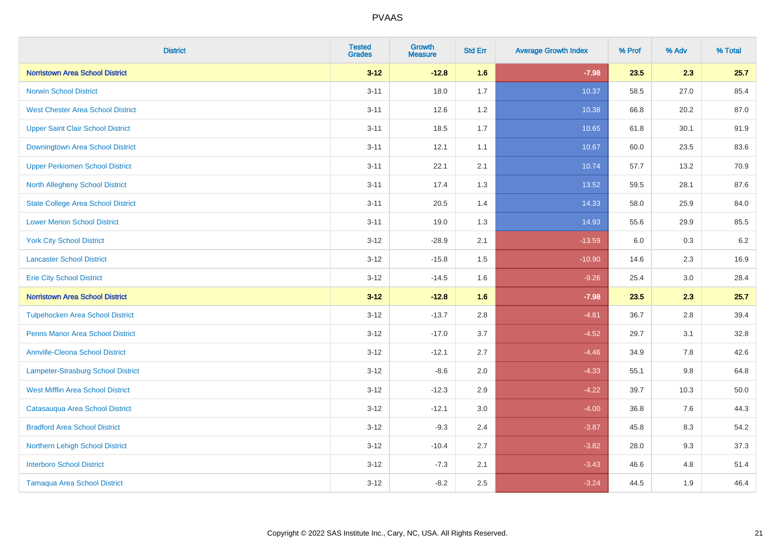| <b>District</b>                           | <b>Tested</b><br><b>Grades</b> | Growth<br><b>Measure</b> | <b>Std Err</b> | <b>Average Growth Index</b> | % Prof | % Adv   | % Total |
|-------------------------------------------|--------------------------------|--------------------------|----------------|-----------------------------|--------|---------|---------|
| <b>Norristown Area School District</b>    | $3 - 12$                       | $-12.8$                  | 1.6            | $-7.98$                     | 23.5   | 2.3     | 25.7    |
| <b>Norwin School District</b>             | $3 - 11$                       | 18.0                     | 1.7            | 10.37                       | 58.5   | 27.0    | 85.4    |
| <b>West Chester Area School District</b>  | $3 - 11$                       | 12.6                     | 1.2            | 10.38                       | 66.8   | 20.2    | 87.0    |
| <b>Upper Saint Clair School District</b>  | $3 - 11$                       | 18.5                     | 1.7            | 10.65                       | 61.8   | 30.1    | 91.9    |
| Downingtown Area School District          | $3 - 11$                       | 12.1                     | 1.1            | 10.67                       | 60.0   | 23.5    | 83.6    |
| <b>Upper Perkiomen School District</b>    | $3 - 11$                       | 22.1                     | 2.1            | 10.74                       | 57.7   | 13.2    | 70.9    |
| <b>North Allegheny School District</b>    | $3 - 11$                       | 17.4                     | 1.3            | 13.52                       | 59.5   | 28.1    | 87.6    |
| <b>State College Area School District</b> | $3 - 11$                       | 20.5                     | 1.4            | 14.33                       | 58.0   | 25.9    | 84.0    |
| <b>Lower Merion School District</b>       | $3 - 11$                       | 19.0                     | 1.3            | 14.93                       | 55.6   | 29.9    | 85.5    |
| <b>York City School District</b>          | $3 - 12$                       | $-28.9$                  | 2.1            | $-13.59$                    | 6.0    | 0.3     | $6.2\,$ |
| <b>Lancaster School District</b>          | $3 - 12$                       | $-15.8$                  | 1.5            | $-10.90$                    | 14.6   | 2.3     | 16.9    |
| <b>Erie City School District</b>          | $3 - 12$                       | $-14.5$                  | 1.6            | $-9.26$                     | 25.4   | 3.0     | 28.4    |
| <b>Norristown Area School District</b>    | $3 - 12$                       | $-12.8$                  | 1.6            | $-7.98$                     | 23.5   | 2.3     | 25.7    |
| <b>Tulpehocken Area School District</b>   | $3 - 12$                       | $-13.7$                  | 2.8            | $-4.81$                     | 36.7   | 2.8     | 39.4    |
| <b>Penns Manor Area School District</b>   | $3 - 12$                       | $-17.0$                  | 3.7            | $-4.52$                     | 29.7   | 3.1     | 32.8    |
| <b>Annville-Cleona School District</b>    | $3 - 12$                       | $-12.1$                  | 2.7            | $-4.46$                     | 34.9   | $7.8\,$ | 42.6    |
| Lampeter-Strasburg School District        | $3 - 12$                       | $-8.6$                   | 2.0            | $-4.33$                     | 55.1   | 9.8     | 64.8    |
| <b>West Mifflin Area School District</b>  | $3 - 12$                       | $-12.3$                  | 2.9            | $-4.22$                     | 39.7   | 10.3    | 50.0    |
| Catasauqua Area School District           | $3 - 12$                       | $-12.1$                  | 3.0            | $-4.00$                     | 36.8   | 7.6     | 44.3    |
| <b>Bradford Area School District</b>      | $3 - 12$                       | $-9.3$                   | 2.4            | $-3.87$                     | 45.8   | 8.3     | 54.2    |
| Northern Lehigh School District           | $3 - 12$                       | $-10.4$                  | 2.7            | $-3.82$                     | 28.0   | 9.3     | 37.3    |
| <b>Interboro School District</b>          | $3 - 12$                       | $-7.3$                   | 2.1            | $-3.43$                     | 46.6   | 4.8     | 51.4    |
| <b>Tamaqua Area School District</b>       | $3 - 12$                       | $-8.2$                   | 2.5            | $-3.24$                     | 44.5   | 1.9     | 46.4    |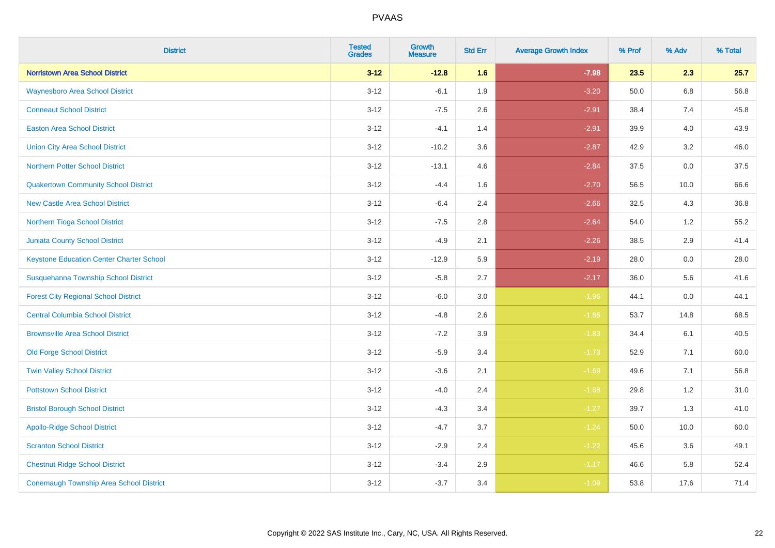| <b>District</b>                                 | <b>Tested</b><br><b>Grades</b> | <b>Growth</b><br><b>Measure</b> | <b>Std Err</b> | <b>Average Growth Index</b> | % Prof | % Adv   | % Total |
|-------------------------------------------------|--------------------------------|---------------------------------|----------------|-----------------------------|--------|---------|---------|
| <b>Norristown Area School District</b>          | $3 - 12$                       | $-12.8$                         | 1.6            | $-7.98$                     | 23.5   | 2.3     | 25.7    |
| <b>Waynesboro Area School District</b>          | $3 - 12$                       | $-6.1$                          | 1.9            | $-3.20$                     | 50.0   | $6.8\,$ | 56.8    |
| <b>Conneaut School District</b>                 | $3 - 12$                       | $-7.5$                          | 2.6            | $-2.91$                     | 38.4   | 7.4     | 45.8    |
| <b>Easton Area School District</b>              | $3 - 12$                       | $-4.1$                          | 1.4            | $-2.91$                     | 39.9   | 4.0     | 43.9    |
| <b>Union City Area School District</b>          | $3-12$                         | $-10.2$                         | 3.6            | $-2.87$                     | 42.9   | 3.2     | 46.0    |
| <b>Northern Potter School District</b>          | $3 - 12$                       | $-13.1$                         | 4.6            | $-2.84$                     | 37.5   | 0.0     | 37.5    |
| <b>Quakertown Community School District</b>     | $3 - 12$                       | $-4.4$                          | 1.6            | $-2.70$                     | 56.5   | 10.0    | 66.6    |
| <b>New Castle Area School District</b>          | $3 - 12$                       | $-6.4$                          | 2.4            | $-2.66$                     | 32.5   | 4.3     | 36.8    |
| Northern Tioga School District                  | $3 - 12$                       | $-7.5$                          | 2.8            | $-2.64$                     | 54.0   | 1.2     | 55.2    |
| <b>Juniata County School District</b>           | $3-12$                         | $-4.9$                          | 2.1            | $-2.26$                     | 38.5   | 2.9     | 41.4    |
| <b>Keystone Education Center Charter School</b> | $3 - 12$                       | $-12.9$                         | 5.9            | $-2.19$                     | 28.0   | 0.0     | 28.0    |
| Susquehanna Township School District            | $3 - 12$                       | $-5.8$                          | 2.7            | $-2.17$                     | 36.0   | 5.6     | 41.6    |
| <b>Forest City Regional School District</b>     | $3 - 12$                       | $-6.0$                          | $3.0\,$        | $-1.96$                     | 44.1   | $0.0\,$ | 44.1    |
| <b>Central Columbia School District</b>         | $3 - 12$                       | $-4.8$                          | 2.6            | $-1.86$                     | 53.7   | 14.8    | 68.5    |
| <b>Brownsville Area School District</b>         | $3 - 12$                       | $-7.2$                          | 3.9            | $-1.83$                     | 34.4   | 6.1     | 40.5    |
| <b>Old Forge School District</b>                | $3 - 12$                       | $-5.9$                          | 3.4            | $-1.73$                     | 52.9   | 7.1     | 60.0    |
| <b>Twin Valley School District</b>              | $3 - 12$                       | $-3.6$                          | 2.1            | $-1.69$                     | 49.6   | 7.1     | 56.8    |
| <b>Pottstown School District</b>                | $3 - 12$                       | $-4.0$                          | 2.4            | $-1.68$                     | 29.8   | 1.2     | 31.0    |
| <b>Bristol Borough School District</b>          | $3 - 12$                       | $-4.3$                          | 3.4            | $-1.27$                     | 39.7   | 1.3     | 41.0    |
| <b>Apollo-Ridge School District</b>             | $3 - 12$                       | $-4.7$                          | 3.7            | $-1.24$                     | 50.0   | 10.0    | 60.0    |
| <b>Scranton School District</b>                 | $3-12$                         | $-2.9$                          | 2.4            | $-1.22$                     | 45.6   | 3.6     | 49.1    |
| <b>Chestnut Ridge School District</b>           | $3 - 12$                       | $-3.4$                          | 2.9            | $-1.17$                     | 46.6   | 5.8     | 52.4    |
| <b>Conemaugh Township Area School District</b>  | $3 - 12$                       | $-3.7$                          | 3.4            | $-1.09$                     | 53.8   | 17.6    | 71.4    |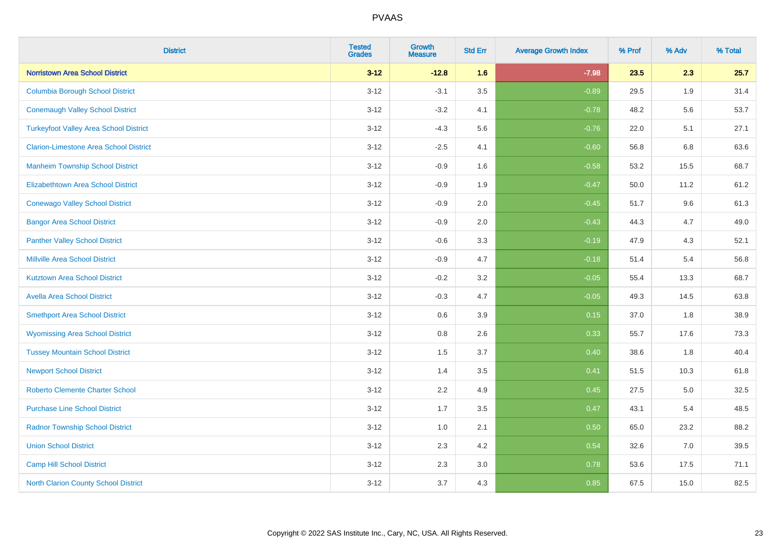| <b>District</b>                               | <b>Tested</b><br><b>Grades</b> | <b>Growth</b><br><b>Measure</b> | <b>Std Err</b> | <b>Average Growth Index</b> | % Prof | % Adv | % Total |
|-----------------------------------------------|--------------------------------|---------------------------------|----------------|-----------------------------|--------|-------|---------|
| <b>Norristown Area School District</b>        | $3 - 12$                       | $-12.8$                         | 1.6            | $-7.98$                     | 23.5   | 2.3   | 25.7    |
| <b>Columbia Borough School District</b>       | $3 - 12$                       | $-3.1$                          | 3.5            | $-0.89$                     | 29.5   | 1.9   | 31.4    |
| <b>Conemaugh Valley School District</b>       | $3 - 12$                       | $-3.2$                          | 4.1            | $-0.78$                     | 48.2   | 5.6   | 53.7    |
| <b>Turkeyfoot Valley Area School District</b> | $3 - 12$                       | $-4.3$                          | 5.6            | $-0.76$                     | 22.0   | 5.1   | 27.1    |
| <b>Clarion-Limestone Area School District</b> | $3 - 12$                       | $-2.5$                          | 4.1            | $-0.60$                     | 56.8   | 6.8   | 63.6    |
| <b>Manheim Township School District</b>       | $3 - 12$                       | $-0.9$                          | 1.6            | $-0.58$                     | 53.2   | 15.5  | 68.7    |
| <b>Elizabethtown Area School District</b>     | $3 - 12$                       | $-0.9$                          | 1.9            | $-0.47$                     | 50.0   | 11.2  | 61.2    |
| <b>Conewago Valley School District</b>        | $3 - 12$                       | $-0.9$                          | 2.0            | $-0.45$                     | 51.7   | 9.6   | 61.3    |
| <b>Bangor Area School District</b>            | $3 - 12$                       | $-0.9$                          | 2.0            | $-0.43$                     | 44.3   | 4.7   | 49.0    |
| <b>Panther Valley School District</b>         | $3 - 12$                       | $-0.6$                          | 3.3            | $-0.19$                     | 47.9   | 4.3   | 52.1    |
| <b>Millville Area School District</b>         | $3 - 12$                       | $-0.9$                          | 4.7            | $-0.18$                     | 51.4   | 5.4   | 56.8    |
| <b>Kutztown Area School District</b>          | $3 - 12$                       | $-0.2$                          | 3.2            | $-0.05$                     | 55.4   | 13.3  | 68.7    |
| <b>Avella Area School District</b>            | $3 - 12$                       | $-0.3$                          | 4.7            | $-0.05$                     | 49.3   | 14.5  | 63.8    |
| <b>Smethport Area School District</b>         | $3 - 12$                       | 0.6                             | 3.9            | 0.15                        | 37.0   | 1.8   | 38.9    |
| <b>Wyomissing Area School District</b>        | $3 - 12$                       | $0.8\,$                         | 2.6            | 0.33                        | 55.7   | 17.6  | 73.3    |
| <b>Tussey Mountain School District</b>        | $3 - 12$                       | 1.5                             | 3.7            | 0.40                        | 38.6   | 1.8   | 40.4    |
| <b>Newport School District</b>                | $3 - 12$                       | 1.4                             | 3.5            | 0.41                        | 51.5   | 10.3  | 61.8    |
| <b>Roberto Clemente Charter School</b>        | $3 - 12$                       | 2.2                             | 4.9            | 0.45                        | 27.5   | 5.0   | 32.5    |
| <b>Purchase Line School District</b>          | $3 - 12$                       | 1.7                             | 3.5            | 0.47                        | 43.1   | 5.4   | 48.5    |
| <b>Radnor Township School District</b>        | $3 - 12$                       | 1.0                             | 2.1            | 0.50                        | 65.0   | 23.2  | 88.2    |
| <b>Union School District</b>                  | $3 - 12$                       | 2.3                             | 4.2            | 0.54                        | 32.6   | 7.0   | 39.5    |
| Camp Hill School District                     | $3 - 12$                       | 2.3                             | 3.0            | 0.78                        | 53.6   | 17.5  | 71.1    |
| <b>North Clarion County School District</b>   | $3 - 12$                       | 3.7                             | 4.3            | 0.85                        | 67.5   | 15.0  | 82.5    |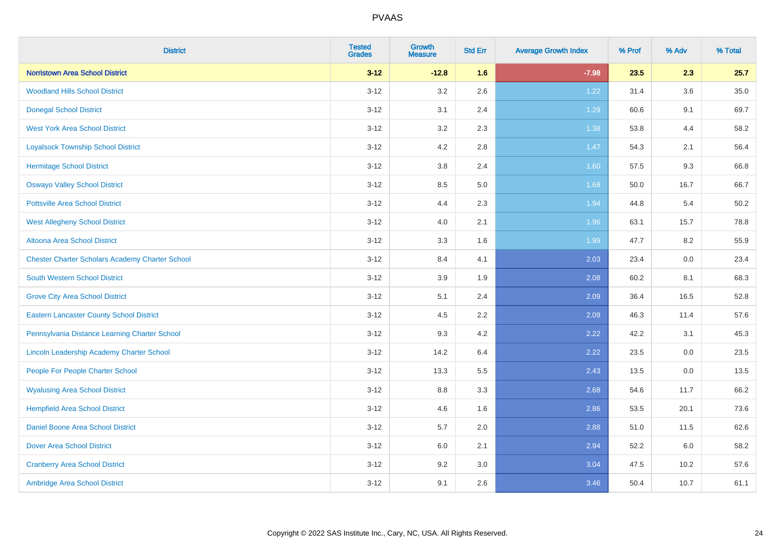| <b>District</b>                                        | <b>Tested</b><br><b>Grades</b> | <b>Growth</b><br><b>Measure</b> | <b>Std Err</b> | <b>Average Growth Index</b> | % Prof | % Adv   | % Total  |
|--------------------------------------------------------|--------------------------------|---------------------------------|----------------|-----------------------------|--------|---------|----------|
| <b>Norristown Area School District</b>                 | $3 - 12$                       | $-12.8$                         | 1.6            | $-7.98$                     | 23.5   | 2.3     | 25.7     |
| <b>Woodland Hills School District</b>                  | $3 - 12$                       | 3.2                             | 2.6            | 1.22                        | 31.4   | $3.6\,$ | $35.0\,$ |
| <b>Donegal School District</b>                         | $3 - 12$                       | 3.1                             | 2.4            | 1.29                        | 60.6   | 9.1     | 69.7     |
| <b>West York Area School District</b>                  | $3 - 12$                       | 3.2                             | 2.3            | 1.38                        | 53.8   | 4.4     | 58.2     |
| <b>Loyalsock Township School District</b>              | $3 - 12$                       | 4.2                             | 2.8            | $1.47$                      | 54.3   | 2.1     | 56.4     |
| <b>Hermitage School District</b>                       | $3 - 12$                       | 3.8                             | 2.4            | 1.60                        | 57.5   | 9.3     | 66.8     |
| <b>Oswayo Valley School District</b>                   | $3 - 12$                       | 8.5                             | 5.0            | 1.68                        | 50.0   | 16.7    | 66.7     |
| <b>Pottsville Area School District</b>                 | $3 - 12$                       | 4.4                             | 2.3            | 1.94                        | 44.8   | 5.4     | 50.2     |
| <b>West Allegheny School District</b>                  | $3 - 12$                       | 4.0                             | 2.1            | 1.96                        | 63.1   | 15.7    | 78.8     |
| Altoona Area School District                           | $3 - 12$                       | 3.3                             | 1.6            | 1.99                        | 47.7   | 8.2     | 55.9     |
| <b>Chester Charter Scholars Academy Charter School</b> | $3 - 12$                       | 8.4                             | 4.1            | 2.03                        | 23.4   | 0.0     | 23.4     |
| South Western School District                          | $3 - 12$                       | 3.9                             | 1.9            | 2.08                        | 60.2   | 8.1     | 68.3     |
| <b>Grove City Area School District</b>                 | $3 - 12$                       | 5.1                             | 2.4            | 2.09                        | 36.4   | 16.5    | 52.8     |
| <b>Eastern Lancaster County School District</b>        | $3 - 12$                       | 4.5                             | 2.2            | 2.09                        | 46.3   | 11.4    | 57.6     |
| Pennsylvania Distance Learning Charter School          | $3 - 12$                       | 9.3                             | 4.2            | 2.22                        | 42.2   | 3.1     | 45.3     |
| Lincoln Leadership Academy Charter School              | $3 - 12$                       | 14.2                            | 6.4            | 2.22                        | 23.5   | $0.0\,$ | 23.5     |
| People For People Charter School                       | $3 - 12$                       | 13.3                            | 5.5            | 2.43                        | 13.5   | 0.0     | 13.5     |
| <b>Wyalusing Area School District</b>                  | $3 - 12$                       | 8.8                             | 3.3            | 2.68                        | 54.6   | 11.7    | 66.2     |
| <b>Hempfield Area School District</b>                  | $3 - 12$                       | 4.6                             | 1.6            | 2.86                        | 53.5   | 20.1    | 73.6     |
| <b>Daniel Boone Area School District</b>               | $3 - 12$                       | 5.7                             | 2.0            | 2.88                        | 51.0   | 11.5    | 62.6     |
| <b>Dover Area School District</b>                      | $3 - 12$                       | 6.0                             | 2.1            | 2.94                        | 52.2   | 6.0     | 58.2     |
| <b>Cranberry Area School District</b>                  | $3 - 12$                       | 9.2                             | 3.0            | 3.04                        | 47.5   | 10.2    | 57.6     |
| Ambridge Area School District                          | $3 - 12$                       | 9.1                             | 2.6            | 3.46                        | 50.4   | 10.7    | 61.1     |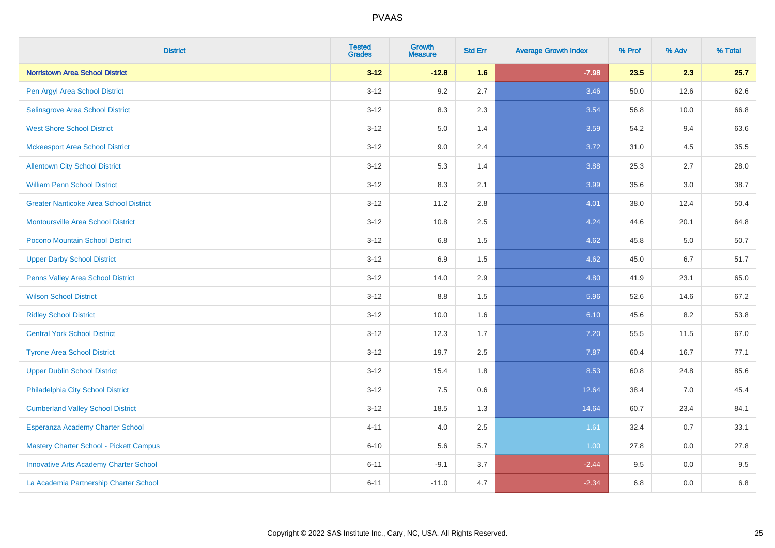| <b>District</b>                               | <b>Tested</b><br><b>Grades</b> | <b>Growth</b><br><b>Measure</b> | <b>Std Err</b> | <b>Average Growth Index</b> | % Prof | % Adv | % Total |
|-----------------------------------------------|--------------------------------|---------------------------------|----------------|-----------------------------|--------|-------|---------|
| <b>Norristown Area School District</b>        | $3 - 12$                       | $-12.8$                         | 1.6            | $-7.98$                     | 23.5   | 2.3   | 25.7    |
| Pen Argyl Area School District                | $3 - 12$                       | 9.2                             | 2.7            | 3.46                        | 50.0   | 12.6  | 62.6    |
| Selinsgrove Area School District              | $3 - 12$                       | 8.3                             | 2.3            | 3.54                        | 56.8   | 10.0  | 66.8    |
| <b>West Shore School District</b>             | $3 - 12$                       | 5.0                             | 1.4            | 3.59                        | 54.2   | 9.4   | 63.6    |
| <b>Mckeesport Area School District</b>        | $3 - 12$                       | 9.0                             | 2.4            | 3.72                        | 31.0   | 4.5   | 35.5    |
| <b>Allentown City School District</b>         | $3 - 12$                       | 5.3                             | 1.4            | 3.88                        | 25.3   | 2.7   | 28.0    |
| <b>William Penn School District</b>           | $3 - 12$                       | 8.3                             | 2.1            | 3.99                        | 35.6   | 3.0   | 38.7    |
| <b>Greater Nanticoke Area School District</b> | $3 - 12$                       | 11.2                            | 2.8            | 4.01                        | 38.0   | 12.4  | 50.4    |
| Montoursville Area School District            | $3 - 12$                       | 10.8                            | 2.5            | 4.24                        | 44.6   | 20.1  | 64.8    |
| Pocono Mountain School District               | $3 - 12$                       | 6.8                             | 1.5            | 4.62                        | 45.8   | 5.0   | 50.7    |
| <b>Upper Darby School District</b>            | $3 - 12$                       | 6.9                             | 1.5            | 4.62                        | 45.0   | 6.7   | 51.7    |
| Penns Valley Area School District             | $3 - 12$                       | 14.0                            | 2.9            | 4.80                        | 41.9   | 23.1  | 65.0    |
| <b>Wilson School District</b>                 | $3 - 12$                       | $8.8\,$                         | 1.5            | 5.96                        | 52.6   | 14.6  | 67.2    |
| <b>Ridley School District</b>                 | $3 - 12$                       | 10.0                            | 1.6            | 6.10                        | 45.6   | 8.2   | 53.8    |
| <b>Central York School District</b>           | $3 - 12$                       | 12.3                            | 1.7            | 7.20                        | 55.5   | 11.5  | 67.0    |
| <b>Tyrone Area School District</b>            | $3 - 12$                       | 19.7                            | 2.5            | 7.87                        | 60.4   | 16.7  | 77.1    |
| <b>Upper Dublin School District</b>           | $3 - 12$                       | 15.4                            | 1.8            | 8.53                        | 60.8   | 24.8  | 85.6    |
| Philadelphia City School District             | $3 - 12$                       | 7.5                             | 0.6            | 12.64                       | 38.4   | 7.0   | 45.4    |
| <b>Cumberland Valley School District</b>      | $3 - 12$                       | 18.5                            | 1.3            | 14.64                       | 60.7   | 23.4  | 84.1    |
| Esperanza Academy Charter School              | $4 - 11$                       | 4.0                             | 2.5            | 1.61                        | 32.4   | 0.7   | 33.1    |
| Mastery Charter School - Pickett Campus       | $6 - 10$                       | 5.6                             | 5.7            | 1.00                        | 27.8   | 0.0   | 27.8    |
| <b>Innovative Arts Academy Charter School</b> | $6 - 11$                       | $-9.1$                          | 3.7            | $-2.44$                     | 9.5    | 0.0   | 9.5     |
| La Academia Partnership Charter School        | $6 - 11$                       | $-11.0$                         | 4.7            | $-2.34$                     | 6.8    | 0.0   | 6.8     |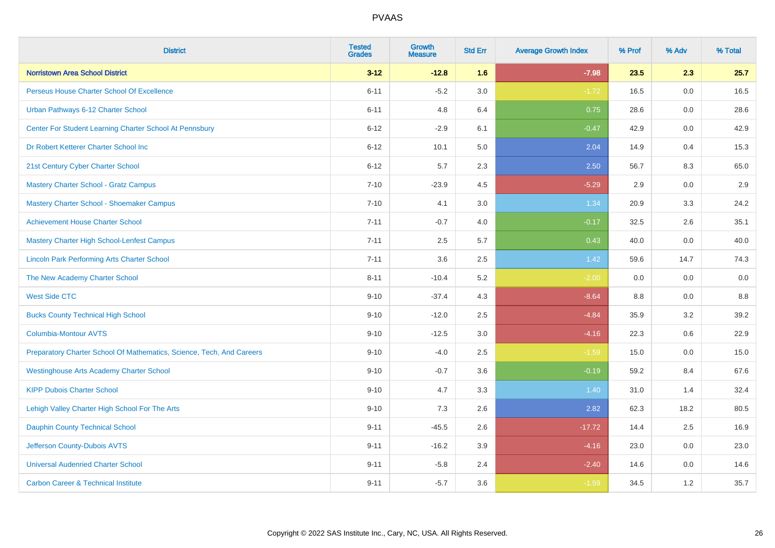| <b>District</b>                                                       | <b>Tested</b><br><b>Grades</b> | Growth<br><b>Measure</b> | <b>Std Err</b> | <b>Average Growth Index</b> | % Prof | % Adv | % Total |
|-----------------------------------------------------------------------|--------------------------------|--------------------------|----------------|-----------------------------|--------|-------|---------|
| <b>Norristown Area School District</b>                                | $3 - 12$                       | $-12.8$                  | 1.6            | $-7.98$                     | 23.5   | 2.3   | 25.7    |
| Perseus House Charter School Of Excellence                            | $6 - 11$                       | $-5.2$                   | 3.0            | $-1.72$                     | 16.5   | 0.0   | 16.5    |
| Urban Pathways 6-12 Charter School                                    | $6 - 11$                       | 4.8                      | 6.4            | 0.75                        | 28.6   | 0.0   | 28.6    |
| Center For Student Learning Charter School At Pennsbury               | $6 - 12$                       | $-2.9$                   | 6.1            | $-0.47$                     | 42.9   | 0.0   | 42.9    |
| Dr Robert Ketterer Charter School Inc                                 | $6 - 12$                       | 10.1                     | 5.0            | 2.04                        | 14.9   | 0.4   | 15.3    |
| 21st Century Cyber Charter School                                     | $6 - 12$                       | 5.7                      | 2.3            | 2.50                        | 56.7   | 8.3   | 65.0    |
| Mastery Charter School - Gratz Campus                                 | $7 - 10$                       | $-23.9$                  | 4.5            | $-5.29$                     | 2.9    | 0.0   | 2.9     |
| Mastery Charter School - Shoemaker Campus                             | $7 - 10$                       | 4.1                      | 3.0            | 1.34                        | 20.9   | 3.3   | 24.2    |
| <b>Achievement House Charter School</b>                               | $7 - 11$                       | $-0.7$                   | 4.0            | $-0.17$                     | 32.5   | 2.6   | 35.1    |
| <b>Mastery Charter High School-Lenfest Campus</b>                     | $7 - 11$                       | 2.5                      | 5.7            | 0.43                        | 40.0   | 0.0   | 40.0    |
| <b>Lincoln Park Performing Arts Charter School</b>                    | $7 - 11$                       | 3.6                      | 2.5            | 1.42                        | 59.6   | 14.7  | 74.3    |
| The New Academy Charter School                                        | $8 - 11$                       | $-10.4$                  | 5.2            | $-2.00$                     | 0.0    | 0.0   | 0.0     |
| <b>West Side CTC</b>                                                  | $9 - 10$                       | $-37.4$                  | 4.3            | $-8.64$                     | 8.8    | 0.0   | 8.8     |
| <b>Bucks County Technical High School</b>                             | $9 - 10$                       | $-12.0$                  | 2.5            | $-4.84$                     | 35.9   | 3.2   | 39.2    |
| <b>Columbia-Montour AVTS</b>                                          | $9 - 10$                       | $-12.5$                  | 3.0            | $-4.16$                     | 22.3   | 0.6   | 22.9    |
| Preparatory Charter School Of Mathematics, Science, Tech, And Careers | $9 - 10$                       | $-4.0$                   | 2.5            | $-1.59$                     | 15.0   | 0.0   | 15.0    |
| <b>Westinghouse Arts Academy Charter School</b>                       | $9 - 10$                       | $-0.7$                   | 3.6            | $-0.19$                     | 59.2   | 8.4   | 67.6    |
| <b>KIPP Dubois Charter School</b>                                     | $9 - 10$                       | 4.7                      | 3.3            | 1.40                        | 31.0   | 1.4   | 32.4    |
| Lehigh Valley Charter High School For The Arts                        | $9 - 10$                       | 7.3                      | 2.6            | 2.82                        | 62.3   | 18.2  | 80.5    |
| <b>Dauphin County Technical School</b>                                | $9 - 11$                       | $-45.5$                  | 2.6            | $-17.72$                    | 14.4   | 2.5   | 16.9    |
| Jefferson County-Dubois AVTS                                          | $9 - 11$                       | $-16.2$                  | 3.9            | $-4.16$                     | 23.0   | 0.0   | 23.0    |
| <b>Universal Audenried Charter School</b>                             | $9 - 11$                       | $-5.8$                   | 2.4            | $-2.40$                     | 14.6   | 0.0   | 14.6    |
| <b>Carbon Career &amp; Technical Institute</b>                        | $9 - 11$                       | $-5.7$                   | 3.6            | $-1.59$                     | 34.5   | 1.2   | 35.7    |